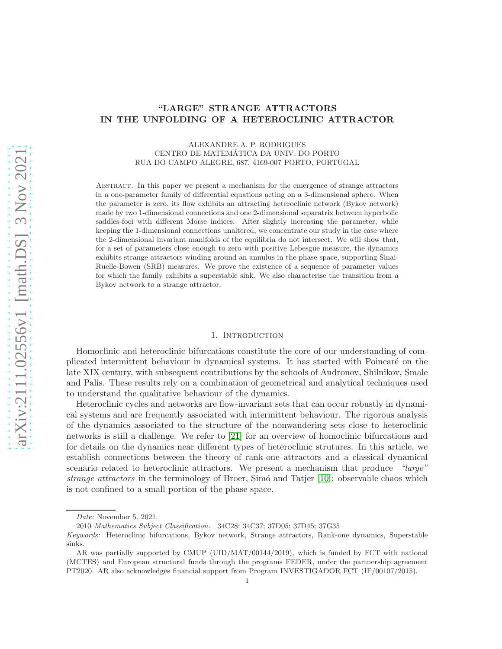# "LARGE" STRANGE ATTRACTORS IN THE UNFOLDING OF A HETEROCLINIC ATTRACTOR

### ALEXANDRE A. P. RODRIGUES CENTRO DE MATEMATICA DA UNIV. DO PORTO ´ RUA DO CAMPO ALEGRE, 687, 4169-007 PORTO, PORTUGAL

Abstract. In this paper we present a mechanism for the emergence of strange attractors in a one-parameter family of differential equations acting on a 3-dimensional sphere. When the parameter is zero, its flow exhibits an attracting heteroclinic network (Bykov network) made by two 1-dimensional connections and one 2-dimensional separatrix between hyperbolic saddles-foci with different Morse indices. After slightly increasing the parameter, while keeping the 1-dimensional connections unaltered, we concentrate our study in the case where the 2-dimensional invariant manifolds of the equilibria do not intersect. We will show that, for a set of parameters close enough to zero with positive Lebesgue measure, the dynamics exhibits strange attractors winding around an annulus in the phase space, supporting Sinai-Ruelle-Bowen (SRB) measures. We prove the existence of a sequence of parameter values for which the family exhibits a superstable sink. We also characterise the transition from a Bykov network to a strange attractor.

#### 1. INTRODUCTION

Homoclinic and heteroclinic bifurcations constitute the core of our understanding of complicated intermittent behaviour in dynamical systems. It has started with Poincar´e on the late XIX century, with subsequent contributions by the schools of Andronov, Shilnikov, Smale and Palis. These results rely on a combination of geometrical and analytical techniques used to understand the qualitative behaviour of the dynamics.

Heteroclinic cycles and networks are flow-invariant sets that can occur robustly in dynamical systems and are frequently associated with intermittent behaviour. The rigorous analysis of the dynamics associated to the structure of the nonwandering sets close to heteroclinic networks is still a challenge. We refer to [\[21\]](#page-23-0) for an overview of homoclinic bifurcations and for details on the dynamics near different types of heteroclinic strutures. In this article, we establish connections between the theory of rank-one attractors and a classical dynamical scenario related to heteroclinic attractors. We present a mechanism that produce "large" strange attractors in the terminology of Broer, Simó and Tatjer  $[10]$ : observable chaos which is not confined to a small portion of the phase space.

Date: November 5, 2021.

<sup>2010</sup> Mathematics Subject Classification. 34C28; 34C37; 37D05; 37D45; 37G35

Keywords: Heteroclinic bifurcations, Bykov network, Strange attractors, Rank-one dynamics, Superstable sinks.

AR was partially supported by CMUP (UID/MAT/00144/2019), which is funded by FCT with national (MCTES) and European structural funds through the programs FEDER, under the partnership agreement PT2020. AR also acknowledges financial support from Program INVESTIGADOR FCT (IF/00107/2015).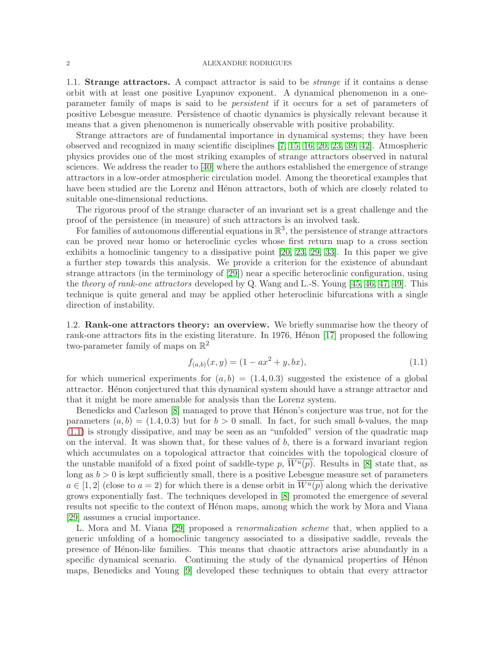1.1. **Strange attractors.** A compact attractor is said to be *strange* if it contains a dense orbit with at least one positive Lyapunov exponent. A dynamical phenomenon in a oneparameter family of maps is said to be persistent if it occurs for a set of parameters of positive Lebesgue measure. Persistence of chaotic dynamics is physically relevant because it means that a given phenomenon is numerically observable with positive probability.

Strange attractors are of fundamental importance in dynamical systems; they have been observed and recognized in many scientific disciplines [\[7,](#page-23-2) [15,](#page-23-3) [16,](#page-23-4) [20,](#page-23-5) [23,](#page-23-6) [39,](#page-24-0) [42\]](#page-24-1). Atmospheric physics provides one of the most striking examples of strange attractors observed in natural sciences. We address the reader to [\[40\]](#page-24-2) where the authors established the emergence of strange attractors in a low-order atmospheric circulation model. Among the theoretical examples that have been studied are the Lorenz and Hénon attractors, both of which are closely related to suitable one-dimensional reductions.

The rigorous proof of the strange character of an invariant set is a great challenge and the proof of the persistence (in measure) of such attractors is an involved task.

For families of autonomous differential equations in  $\mathbb{R}^3$ , the persistence of strange attractors can be proved near homo or heteroclinic cycles whose first return map to a cross section exhibits a homoclinic tangency to a dissipative point [\[20,](#page-23-5) [23,](#page-23-6) [29,](#page-24-3) [33\]](#page-24-4). In this paper we give a further step towards this analysis. We provide a criterion for the existence of abundant strange attractors (in the terminology of [\[29\]](#page-24-3)) near a specific heteroclinic configuration, using the *theory of rank-one attractors* developed by Q. Wang and L.-S. Young  $[45, 46, 47, 49]$  $[45, 46, 47, 49]$  $[45, 46, 47, 49]$  $[45, 46, 47, 49]$ . This technique is quite general and may be applied other heteroclinic bifurcations with a single direction of instability.

1.2. Rank-one attractors theory: an overview. We briefly summarise how the theory of rank-one attractors fits in the existing literature. In 1976, Henon  $[17]$  proposed the following two-parameter family of maps on  $\mathbb{R}^2$ 

<span id="page-1-0"></span>
$$
f_{(a,b)}(x,y) = (1 - ax^2 + y, bx),
$$
\n(1.1)

for which numerical experiments for  $(a, b) = (1.4, 0.3)$  suggested the existence of a global attractor. Henon conjectured that this dynamical system should have a strange attractor and that it might be more amenable for analysis than the Lorenz system.

Benedicks and Carleson [\[8\]](#page-23-8) managed to prove that Hénon's conjecture was true, not for the parameters  $(a, b) = (1.4, 0.3)$  but for  $b > 0$  small. In fact, for such small b-values, the map [\(1.1\)](#page-1-0) is strongly dissipative, and may be seen as an "unfolded" version of the quadratic map on the interval. It was shown that, for these values of b, there is a forward invariant region which accumulates on a topological attractor that coincides with the topological closure of the unstable manifold of a fixed point of saddle-type p,  $W^u(p)$ . Results in [\[8\]](#page-23-8) state that, as long as  $b > 0$  is kept sufficiently small, there is a positive Lebesgue measure set of parameters  $a \in [1,2]$  (close to  $a = 2$ ) for which there is a dense orbit in  $\overline{W^u(p)}$  along which the derivative grows exponentially fast. The techniques developed in [\[8\]](#page-23-8) promoted the emergence of several results not specific to the context of Henon maps, among which the work by Mora and Viana [\[29\]](#page-24-3) assumes a crucial importance.

L. Mora and M. Viana [\[29\]](#page-24-3) proposed a renormalization scheme that, when applied to a generic unfolding of a homoclinic tangency associated to a dissipative saddle, reveals the presence of H´enon-like families. This means that chaotic attractors arise abundantly in a specific dynamical scenario. Continuing the study of the dynamical properties of Henon maps, Benedicks and Young [\[9\]](#page-23-9) developed these techniques to obtain that every attractor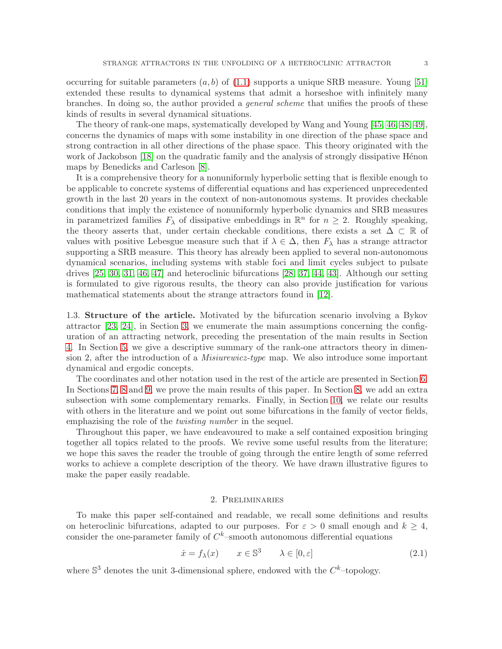occurring for suitable parameters  $(a, b)$  of  $(1.1)$  supports a unique SRB measure. Young [\[51\]](#page-24-9) extended these results to dynamical systems that admit a horseshoe with infinitely many branches. In doing so, the author provided a general scheme that unifies the proofs of these kinds of results in several dynamical situations.

The theory of rank-one maps, systematically developed by Wang and Young [\[45,](#page-24-5) [46,](#page-24-6) [48,](#page-24-10) [49\]](#page-24-8), concerns the dynamics of maps with some instability in one direction of the phase space and strong contraction in all other directions of the phase space. This theory originated with the work of Jackobson [\[18\]](#page-23-10) on the quadratic family and the analysis of strongly dissipative Hénon maps by Benedicks and Carleson [\[8\]](#page-23-8).

It is a comprehensive theory for a nonuniformly hyperbolic setting that is flexible enough to be applicable to concrete systems of differential equations and has experienced unprecedented growth in the last 20 years in the context of non-autonomous systems. It provides checkable conditions that imply the existence of nonuniformly hyperbolic dynamics and SRB measures in parametrized families  $F_{\lambda}$  of dissipative embeddings in  $\mathbb{R}^n$  for  $n \geq 2$ . Roughly speaking, the theory asserts that, under certain checkable conditions, there exists a set  $\Delta \subset \mathbb{R}$  of values with positive Lebesgue measure such that if  $\lambda \in \Delta$ , then  $F_{\lambda}$  has a strange attractor supporting a SRB measure. This theory has already been applied to several non-autonomous dynamical scenarios, including systems with stable foci and limit cycles subject to pulsate drives [\[25,](#page-23-11) [30,](#page-24-11) [31,](#page-24-12) [46,](#page-24-6) [47\]](#page-24-7) and heteroclinic bifurcations [\[28,](#page-24-13) [37,](#page-24-14) [44,](#page-24-15) [43\]](#page-24-16). Although our setting is formulated to give rigorous results, the theory can also provide justification for various mathematical statements about the strange attractors found in [\[12\]](#page-23-12).

1.3. Structure of the article. Motivated by the bifurcation scenario involving a Bykov attractor [\[23,](#page-23-6) [24\]](#page-23-13), in Section [3,](#page-4-0) we enumerate the main assumptions concerning the configuration of an attracting network, preceding the presentation of the main results in Section [4.](#page-7-0) In Section [5,](#page-8-0) we give a descriptive summary of the rank-one attractors theory in dimension 2, after the introduction of a Misiurewicz-type map. We also introduce some important dynamical and ergodic concepts.

The coordinates and other notation used in the rest of the article are presented in Section [6.](#page-11-0) In Sections [7,](#page-13-0) [8](#page-13-1) and [9,](#page-18-0) we prove the main results of this paper. In Section [8,](#page-13-1) we add an extra subsection with some complementary remarks. Finally, in Section [10,](#page-19-0) we relate our results with others in the literature and we point out some bifurcations in the family of vector fields, emphazising the role of the *twisting number* in the sequel.

Throughout this paper, we have endeavoured to make a self contained exposition bringing together all topics related to the proofs. We revive some useful results from the literature; we hope this saves the reader the trouble of going through the entire length of some referred works to achieve a complete description of the theory. We have drawn illustrative figures to make the paper easily readable.

### <span id="page-2-0"></span>2. Preliminaries

To make this paper self-contained and readable, we recall some definitions and results on heteroclinic bifurcations, adapted to our purposes. For  $\varepsilon > 0$  small enough and  $k \geq 4$ , consider the one-parameter family of  $C<sup>k</sup>$ -smooth autonomous differential equations

$$
\dot{x} = f_{\lambda}(x) \qquad x \in \mathbb{S}^3 \qquad \lambda \in [0, \varepsilon]
$$
\n
$$
(2.1)
$$

where  $\mathbb{S}^3$  denotes the unit 3-dimensional sphere, endowed with the  $C^k$ -topology.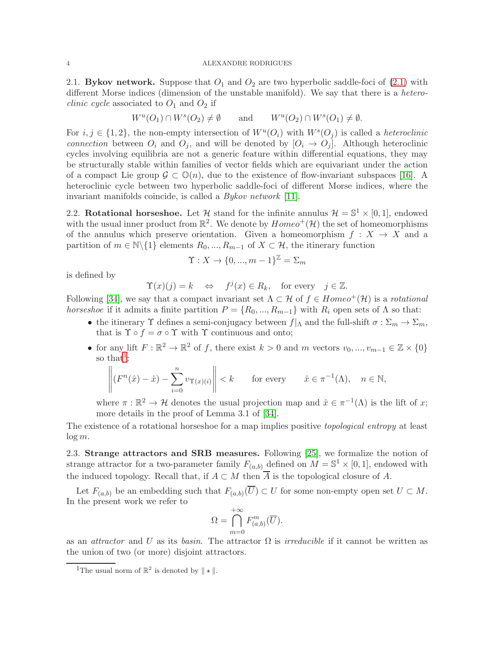2.1. By kov network. Suppose that  $O_1$  and  $O_2$  are two hyperbolic saddle-foci of [\(2.1\)](#page-2-0) with different Morse indices (dimension of the unstable manifold). We say that there is a hetero*clinic cycle* associated to  $O_1$  and  $O_2$  if

$$
W^u(O_1) \cap W^s(O_2) \neq \emptyset
$$
 and  $W^u(O_2) \cap W^s(O_1) \neq \emptyset$ .

For  $i, j \in \{1, 2\}$ , the non-empty intersection of  $W^u(O_i)$  with  $W^s(O_j)$  is called a *heteroclinic* connection between  $O_i$  and  $O_j$ , and will be denoted by  $[O_i \rightarrow O_j]$ . Although heteroclinic cycles involving equilibria are not a generic feature within differential equations, they may be structurally stable within families of vector fields which are equivariant under the action of a compact Lie group  $\mathcal{G} \subset \mathbb{O}(n)$ , due to the existence of flow-invariant subspaces [\[16\]](#page-23-4). A heteroclinic cycle between two hyperbolic saddle-foci of different Morse indices, where the invariant manifolds coincide, is called a Bykov network [\[11\]](#page-23-14).

<span id="page-3-1"></span>2.2. Rotational horseshoe. Let H stand for the infinite annulus  $\mathcal{H} = \mathbb{S}^1 \times [0,1]$ , endowed with the usual inner product from  $\mathbb{R}^2$ . We denote by  $Homeo^+(\mathcal{H})$  the set of homeomorphisms of the annulus which preserve orientation. Given a homeomorphism  $f : X \to X$  and a partition of  $m \in \mathbb{N}\backslash\{1\}$  elements  $R_0, ..., R_{m-1}$  of  $X \subset \mathcal{H}$ , the itinerary function

$$
\Upsilon: X \to \{0, ..., m-1\}^{\mathbb{Z}} = \Sigma_m
$$

is defined by

$$
\Upsilon(x)(j) = k \Leftrightarrow f^j(x) \in R_k
$$
, for every  $j \in \mathbb{Z}$ .

Following [\[34\]](#page-24-17), we say that a compact invariant set  $\Lambda \subset \mathcal{H}$  of  $f \in Homeo^+(\mathcal{H})$  is a rotational horseshoe if it admits a finite partition  $P = \{R_0, ..., R_{m-1}\}\$  with  $R_i$  open sets of  $\Lambda$  so that:

- the itinerary  $\Upsilon$  defines a semi-conjugacy between  $f|_{\Lambda}$  and the full-shift  $\sigma : \Sigma_m \to \Sigma_m$ , that is  $\Upsilon \circ f = \sigma \circ \Upsilon$  with  $\Upsilon$  continuous and onto;
- for any lift  $F: \mathbb{R}^2 \to \mathbb{R}^2$  of f, there exist  $k > 0$  and m vectors  $v_0, ..., v_{m-1} \in \mathbb{Z} \times \{0\}$ so that<sup>[1](#page-3-0)</sup>:

$$
\left\| (F^n(\hat{x}) - \hat{x}) - \sum_{i=0}^n v_{\Upsilon(x)(i)} \right\| < k \qquad \text{for every} \qquad \hat{x} \in \pi^{-1}(\Lambda), \quad n \in \mathbb{N},
$$

where  $\pi : \mathbb{R}^2 \to \mathcal{H}$  denotes the usual projection map and  $\hat{x} \in \pi^{-1}(\Lambda)$  is the lift of x; more details in the proof of Lemma 3.1 of [\[34\]](#page-24-17).

The existence of a rotational horseshoe for a map implies positive *topological entropy* at least  $\log m$ .

2.3. Strange attractors and SRB measures. Following [\[25\]](#page-23-11), we formalize the notion of strange attractor for a two-parameter family  $F_{(a,b)}$  defined on  $M = \mathbb{S}^1 \times [0,1]$ , endowed with the induced topology. Recall that, if  $A \subset M$  then  $\overline{A}$  is the topological closure of A.

Let  $F_{(a,b)}$  be an embedding such that  $F_{(a,b)}(U) \subset U$  for some non-empty open set  $U \subset M$ . In the present work we refer to

$$
\Omega = \bigcap_{m=0}^{+\infty} F_{(a,b)}^m(\overline{U}).
$$

as an *attractor* and U as its basin. The attractor  $\Omega$  is *irreducible* if it cannot be written as the union of two (or more) disjoint attractors.

<span id="page-3-0"></span><sup>&</sup>lt;sup>1</sup>The usual norm of  $\mathbb{R}^2$  is denoted by  $\|\star\|$ .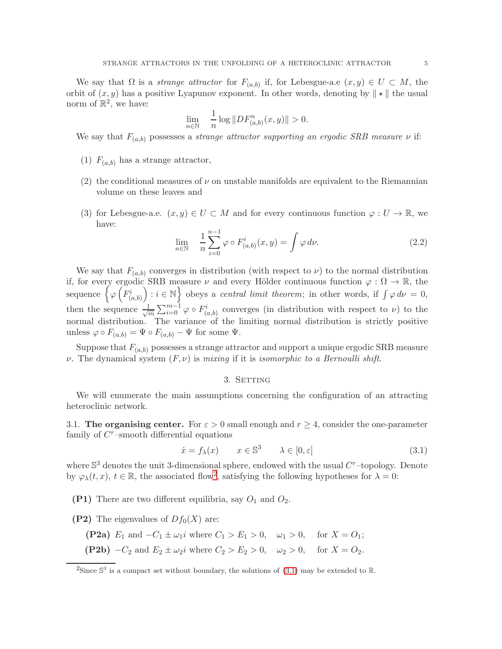We say that  $\Omega$  is a *strange attractor* for  $F_{(a,b)}$  if, for Lebesgue-a.e  $(x, y) \in U \subset M$ , the orbit of  $(x, y)$  has a positive Lyapunov exponent. In other words, denoting by  $\|\star\|$  the usual norm of  $\mathbb{R}^2$ , we have:

$$
\lim_{n \in \mathbb{N}} \quad \frac{1}{n} \log \| DF_{(a,b)}^n(x,y) \| > 0.
$$

We say that  $F_{(a,b)}$  possesses a *strange attractor supporting an ergodic SRB measure*  $\nu$  if:

- (1)  $F_{(a,b)}$  has a strange attractor,
- (2) the conditional measures of  $\nu$  on unstable manifolds are equivalent to the Riemannian volume on these leaves and
- (3) for Lebesgue-a.e.  $(x, y) \in U \subset M$  and for every continuous function  $\varphi : U \to \mathbb{R}$ , we have:

$$
\lim_{n \in \mathbb{N}} \quad \frac{1}{n} \sum_{i=0}^{n-1} \varphi \circ F_{(a,b)}^i(x, y) = \int \varphi \, d\nu. \tag{2.2}
$$

We say that  $F_{(a,b)}$  converges in distribution (with respect to  $\nu$ ) to the normal distribution if, for every ergodic SRB measure  $\nu$  and every Hölder continuous function  $\varphi : \Omega \to \mathbb{R}$ , the sequence  $\bigg\{ \varphi \left( \overline{F_{(a,b)}^i} \right)$ ) :  $i \in \mathbb{N}$  obeys a *central limit theorem*; in other words, if  $\int \varphi \, d\nu = 0$ , then the sequence  $\frac{1}{\sqrt{2}}$  $\frac{1}{m}\sum_{i=0}^{m-1}\varphi\circ F^i_{(a,b)}$  converges (in distribution with respect to  $\nu$ ) to the normal distribution. The variance of the limiting normal distribution is strictly positive unless  $\varphi \circ F_{(a,b)} = \Psi \circ F_{(a,b)} - \Psi$  for some  $\Psi$ .

<span id="page-4-0"></span>Suppose that  $F_{(a,b)}$  possesses a strange attractor and support a unique ergodic SRB measure  $\nu$ . The dynamical system  $(F, \nu)$  is mixing if it is isomorphic to a Bernoulli shift.

### <span id="page-4-2"></span>3. SETTING

We will enumerate the main assumptions concerning the configuration of an attracting heteroclinic network.

3.1. The organising center. For  $\varepsilon > 0$  small enough and  $r \geq 4$ , consider the one-parameter family of  $C<sup>r</sup>$ -smooth differential equations

$$
\dot{x} = f_{\lambda}(x) \qquad x \in \mathbb{S}^3 \qquad \lambda \in [0, \varepsilon]
$$
\n
$$
(3.1)
$$

where  $\mathbb{S}^3$  denotes the unit 3-dimensional sphere, endowed with the usual  $C^r$ -topology. Denote by  $\varphi_{\lambda}(t,x), t \in \mathbb{R}$ , the associated flow<sup>[2](#page-4-1)</sup>, satisfying the following hypotheses for  $\lambda = 0$ :

- (P1) There are two different equilibria, say  $O_1$  and  $O_2$ .
- (P2) The eigenvalues of  $Df_0(X)$  are:
	- (P2a)  $E_1$  and  $-C_1 \pm \omega_1 i$  where  $C_1 > E_1 > 0$ ,  $\omega_1 > 0$ , for  $X = O_1$ ;
	- (P2b)  $-C_2$  and  $E_2 \pm \omega_2 i$  where  $C_2 > E_2 > 0$ ,  $\omega_2 > 0$ , for  $X = O_2$ .

<span id="page-4-1"></span><sup>&</sup>lt;sup>2</sup>Since  $\mathbb{S}^3$  is a compact set without boundary, the solutions of [\(3.1\)](#page-4-2) may be extended to R.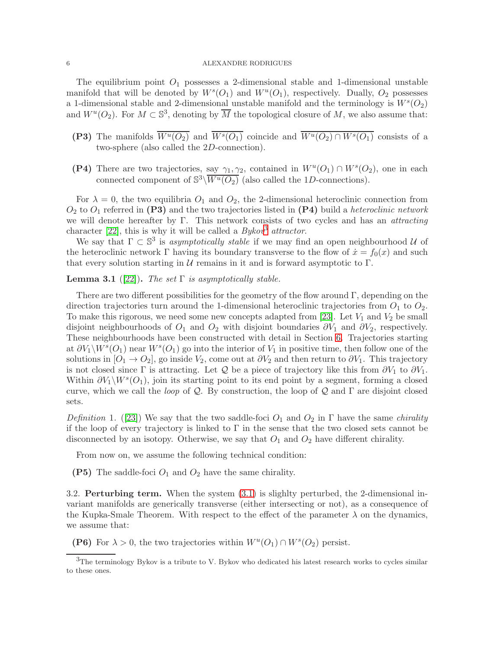The equilibrium point  $O_1$  possesses a 2-dimensional stable and 1-dimensional unstable manifold that will be denoted by  $W^s(O_1)$  and  $W^u(O_1)$ , respectively. Dually,  $O_2$  possesses a 1-dimensional stable and 2-dimensional unstable manifold and the terminology is  $W<sup>s</sup>(O<sub>2</sub>)$ and  $W^u(O_2)$ . For  $M \subset \mathbb{S}^3$ , denoting by  $\overline{M}$  the topological closure of M, we also assume that:

- (P3) The manifolds  $\overline{W^u(O_2)}$  and  $\overline{W^s(O_1)}$  coincide and  $\overline{W^u(O_2) \cap W^s(O_1)}$  consists of a two-sphere (also called the 2D-connection).
- (P4) There are two trajectories, say  $\gamma_1, \gamma_2$ , contained in  $W^u(O_1) \cap W^s(O_2)$ , one in each connected component of  $\mathbb{S}^3\backslash \overline{W^u(O_2)}$  (also called the 1D-connections).

For  $\lambda = 0$ , the two equilibria  $O_1$  and  $O_2$ , the 2-dimensional heteroclinic connection from  $O_2$  to  $O_1$  referred in (P3) and the two trajectories listed in (P4) build a *heteroclinic network* we will denote hereafter by Γ. This network consists of two cycles and has an attracting character [\[22\]](#page-23-15), this is why it will be called a  $Bykov^3$  $Bykov^3$  attractor.

We say that  $\Gamma \subset \mathbb{S}^3$  is asymptotically stable if we may find an open neighbourhood U of the heteroclinic network Γ having its boundary transverse to the flow of  $\dot{x} = f_0(x)$  and such that every solution starting in  $U$  remains in it and is forward asymptotic to  $\Gamma$ .

## <span id="page-5-1"></span>**Lemma 3.1** ([\[22\]](#page-23-15)). The set  $\Gamma$  is asymptotically stable.

There are two different possibilities for the geometry of the flow around  $\Gamma$ , depending on the direction trajectories turn around the 1-dimensional heteroclinic trajectories from  $O_1$  to  $O_2$ . To make this rigorous, we need some new concepts adapted from [\[23\]](#page-23-6). Let  $V_1$  and  $V_2$  be small disjoint neighbourhoods of  $O_1$  and  $O_2$  with disjoint boundaries  $\partial V_1$  and  $\partial V_2$ , respectively. These neighbourhoods have been constructed with detail in Section [6.](#page-11-0) Trajectories starting at  $\partial V_1 \backslash W^s(O_1)$  near  $W^s(O_1)$  go into the interior of  $V_1$  in positive time, then follow one of the solutions in  $[O_1 \rightarrow O_2]$ , go inside  $V_2$ , come out at  $\partial V_2$  and then return to  $\partial V_1$ . This trajectory is not closed since Γ is attracting. Let Q be a piece of trajectory like this from  $\partial V_1$  to  $\partial V_1$ . Within  $\partial V_1 \backslash W^s(O_1)$ , join its starting point to its end point by a segment, forming a closed curve, which we call the *loop* of  $Q$ . By construction, the loop of  $Q$  and  $\Gamma$  are disjoint closed sets.

Definition 1. ([\[23\]](#page-23-6)) We say that the two saddle-foci  $O_1$  and  $O_2$  in  $\Gamma$  have the same *chirality* if the loop of every trajectory is linked to  $\Gamma$  in the sense that the two closed sets cannot be disconnected by an isotopy. Otherwise, we say that  $O_1$  and  $O_2$  have different chirality.

From now on, we assume the following technical condition:

(P5) The saddle-foci  $O_1$  and  $O_2$  have the same chirality.

3.2. Perturbing term. When the system [\(3.1\)](#page-4-2) is slighlty perturbed, the 2-dimensional invariant manifolds are generically transverse (either intersecting or not), as a consequence of the Kupka-Smale Theorem. With respect to the effect of the parameter  $\lambda$  on the dynamics, we assume that:

(P6) For  $\lambda > 0$ , the two trajectories within  $W^u(O_1) \cap W^s(O_2)$  persist.

<span id="page-5-0"></span><sup>&</sup>lt;sup>3</sup>The terminology Bykov is a tribute to V. Bykov who dedicated his latest research works to cycles similar to these ones.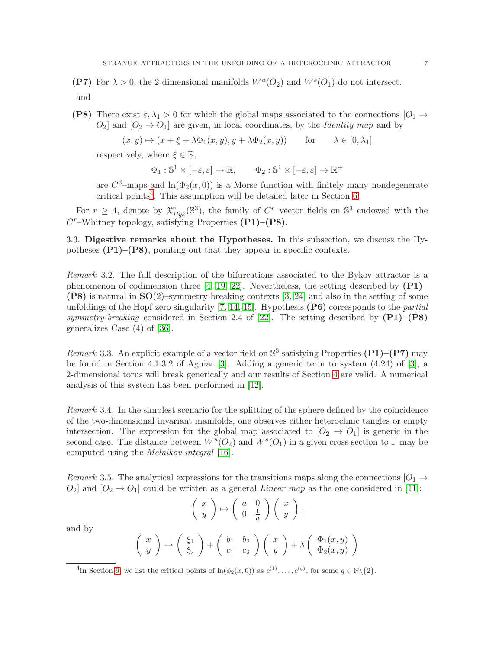(P7) For  $\lambda > 0$ , the 2-dimensional manifolds  $W^u(O_2)$  and  $W^s(O_1)$  do not intersect.

and

(P8) There exist  $\varepsilon, \lambda_1 > 0$  for which the global maps associated to the connections  $[O_1 \rightarrow$  $O_2$  and  $[O_2 \rightarrow O_1]$  are given, in local coordinates, by the *Identity map* and by

$$
(x, y) \mapsto (x + \xi + \lambda \Phi_1(x, y), y + \lambda \Phi_2(x, y))
$$
 for  $\lambda \in [0, \lambda_1]$ 

respectively, where  $\xi \in \mathbb{R}$ ,

 $\Phi_1: \mathbb{S}^1 \times [-\varepsilon, \varepsilon] \to \mathbb{R}, \qquad \Phi_2: \mathbb{S}^1 \times [-\varepsilon, \varepsilon] \to \mathbb{R}^+$ 

are  $C^3$ -maps and  $\ln(\Phi_2(x,0))$  is a Morse function with finitely many nondegenerate critical points<sup>[4](#page-6-0)</sup>. This assumption will be detailed later in Section [6.](#page-11-0)

For  $r \geq 4$ , denote by  $\mathfrak{X}_{Byk}^r(\mathbb{S}^3)$ , the family of C<sup>r</sup>-vector fields on  $\mathbb{S}^3$  endowed with the  $C<sup>r</sup>$ –Whitney topology, satisfying Properties (P1)–(P8).

3.3. Digestive remarks about the Hypotheses. In this subsection, we discuss the Hypotheses  $(P1)$ – $(P8)$ , pointing out that they appear in specific contexts.

Remark 3.2. The full description of the bifurcations associated to the Bykov attractor is a phenomenon of codimension three [\[4,](#page-23-16) [19,](#page-23-17) [22\]](#page-23-15). Nevertheless, the setting described by  $(P1)$ –  $(P8)$  is natural in  $SO(2)$ –symmetry-breaking contexts [\[3,](#page-23-18) [24\]](#page-23-13) and also in the setting of some unfoldings of the Hopf-zero singularity  $[7, 14, 15]$  $[7, 14, 15]$  $[7, 14, 15]$ . Hypothesis  $(P6)$  corresponds to the *partial* symmetry-breaking considered in Section 2.4 of [\[22\]](#page-23-15). The setting described by  $(P1)$ – $(P8)$ generalizes Case (4) of [\[36\]](#page-24-18).

Remark 3.3. An explicit example of a vector field on  $\mathbb{S}^3$  satisfying Properties (P1)–(P7) may be found in Section 4.1.3.2 of Aguiar [\[3\]](#page-23-18). Adding a generic term to system (4.24) of [\[3\]](#page-23-18), a 2-dimensional torus will break generically and our results of Section [4](#page-7-0) are valid. A numerical analysis of this system has been performed in [\[12\]](#page-23-12).

Remark 3.4. In the simplest scenario for the splitting of the sphere defined by the coincidence of the two-dimensional invariant manifolds, one observes either heteroclinic tangles or empty intersection. The expression for the global map associated to  $[O_2 \rightarrow O_1]$  is generic in the second case. The distance between  $W^u(O_2)$  and  $W^s(O_1)$  in a given cross section to  $\Gamma$  may be computed using the Melnikov integral [\[16\]](#page-23-4).

Remark 3.5. The analytical expressions for the transitions maps along the connections [O<sub>1</sub>  $\rightarrow$  $O_2$  and  $[O_2 \rightarrow O_1]$  could be written as a general *Linear map* as the one considered in [\[11\]](#page-23-14):

$$
\left(\begin{array}{c} x \\ y \end{array}\right) \mapsto \left(\begin{array}{cc} a & 0 \\ 0 & \frac{1}{a} \end{array}\right) \left(\begin{array}{c} x \\ y \end{array}\right),
$$

and by

$$
\begin{pmatrix} x \\ y \end{pmatrix} \mapsto \begin{pmatrix} \xi_1 \\ \xi_2 \end{pmatrix} + \begin{pmatrix} b_1 & b_2 \\ c_1 & c_2 \end{pmatrix} \begin{pmatrix} x \\ y \end{pmatrix} + \lambda \begin{pmatrix} \Phi_1(x, y) \\ \Phi_2(x, y) \end{pmatrix}
$$

<span id="page-6-0"></span><sup>&</sup>lt;sup>4</sup>In Section [9,](#page-18-0) we list the critical points of  $\ln(\phi_2(x,0))$  as  $c^{(1)}, \ldots, c^{(q)}$ , for some  $q \in \mathbb{N} \setminus \{2\}$ .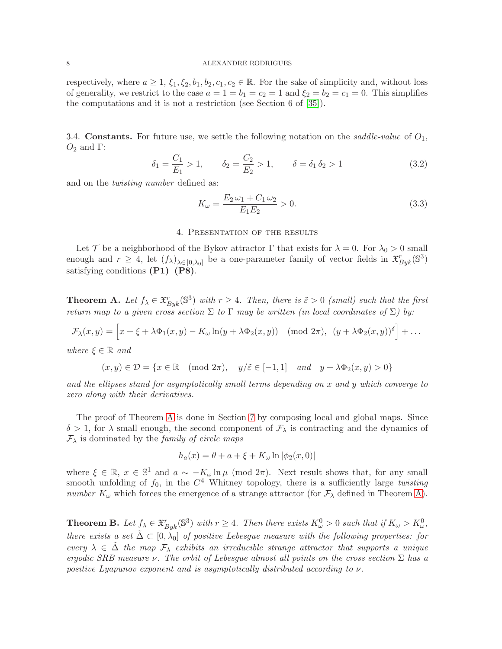respectively, where  $a \geq 1$ ,  $\xi_1, \xi_2, b_1, b_2, c_1, c_2 \in \mathbb{R}$ . For the sake of simplicity and, without loss of generality, we restrict to the case  $a = 1 = b_1 = c_2 = 1$  and  $\xi_2 = b_2 = c_1 = 0$ . This simplifies the computations and it is not a restriction (see Section 6 of [\[35\]](#page-24-19)).

3.4. **Constants.** For future use, we settle the following notation on the *saddle-value* of  $O_1$ ,  $O_2$  and  $\Gamma$ :

$$
\delta_1 = \frac{C_1}{E_1} > 1, \qquad \delta_2 = \frac{C_2}{E_2} > 1, \qquad \delta = \delta_1 \delta_2 > 1 \tag{3.2}
$$

and on the twisting number defined as:

$$
K_{\omega} = \frac{E_2 \omega_1 + C_1 \omega_2}{E_1 E_2} > 0.
$$
\n(3.3)

#### 4. Presentation of the results

<span id="page-7-0"></span>Let T be a neighborhood of the Bykov attractor  $\Gamma$  that exists for  $\lambda = 0$ . For  $\lambda_0 > 0$  small enough and  $r \geq 4$ , let  $(f_{\lambda})_{\lambda \in [0, \lambda_0]}$  be a one-parameter family of vector fields in  $\mathfrak{X}_{Byk}^r(\mathbb{S}^3)$ satisfying conditions  $(P1)$ – $(P8)$ .

<span id="page-7-1"></span>**Theorem A.** Let  $f_{\lambda} \in \mathfrak{X}_{Byk}^r(\mathbb{S}^3)$  with  $r \geq 4$ . Then, there is  $\tilde{\varepsilon} > 0$  (small) such that the first return map to a given cross section  $\Sigma$  to  $\Gamma$  may be written (in local coordinates of  $\Sigma$ ) by:

$$
\mathcal{F}_{\lambda}(x,y) = \left[x + \xi + \lambda \Phi_1(x,y) - K_{\omega} \ln(y + \lambda \Phi_2(x,y)) \pmod{2\pi}, \ (y + \lambda \Phi_2(x,y))^{\delta}\right] + \dots
$$

where  $\xi \in \mathbb{R}$  and

$$
(x, y) \in \mathcal{D} = \{x \in \mathbb{R} \mid (\text{mod } 2\pi), y/\tilde{\varepsilon} \in [-1, 1] \text{ and } y + \lambda \Phi_2(x, y) > 0\}
$$

and the ellipses stand for asymptotically small terms depending on x and y which converge to zero along with their derivatives.

The proof of Theorem [A](#page-7-1) is done in Section [7](#page-13-0) by composing local and global maps. Since  $\delta > 1$ , for  $\lambda$  small enough, the second component of  $\mathcal{F}_{\lambda}$  is contracting and the dynamics of  $\mathcal{F}_{\lambda}$  is dominated by the *family of circle maps* 

$$
h_a(x) = \theta + a + \xi + K_{\omega} \ln |\phi_2(x, 0)|
$$

where  $\xi \in \mathbb{R}$ ,  $x \in \mathbb{S}^1$  and  $a \sim -K_\omega \ln \mu \pmod{2\pi}$ . Next result shows that, for any small smooth unfolding of  $f_0$ , in the  $C^4$ -Whitney topology, there is a sufficiently large *twisting* number  $K_{\omega}$  which forces the emergence of a strange attractor (for  $\mathcal{F}_{\lambda}$  defined in Theorem [A\)](#page-7-1).

<span id="page-7-2"></span>**Theorem B.** Let  $f_{\lambda} \in \mathfrak{X}^r_{Byk}(\mathbb{S}^3)$  with  $r \geq 4$ . Then there exists  $K^0_{\omega} > 0$  such that if  $K_{\omega} > K^0_{\omega}$ , there exists a set  $\tilde{\Delta} \subset [0, \lambda_0]$  of positive Lebesgue measure with the following properties: for every  $\lambda \in \Delta$  the map  $\mathcal{F}_{\lambda}$  exhibits an irreducible strange attractor that supports a unique ergodic SRB measure  $\nu$ . The orbit of Lebesgue almost all points on the cross section  $\Sigma$  has a positive Lyapunov exponent and is asymptotically distributed according to  $\nu$ .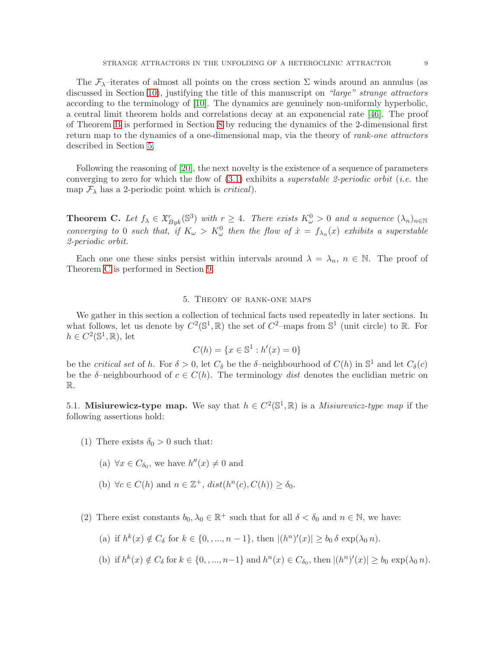The  $\mathcal{F}_{\lambda}$ -iterates of almost all points on the cross section  $\Sigma$  winds around an annulus (as discussed in Section [10\)](#page-19-0), justifying the title of this manuscript on "large" strange attractors according to the terminology of [\[10\]](#page-23-1). The dynamics are genuinely non-uniformly hyperbolic, a central limit theorem holds and correlations decay at an exponencial rate [\[46\]](#page-24-6). The proof of Theorem [B](#page-7-2) is performed in Section [8](#page-13-1) by reducing the dynamics of the 2-dimensional first return map to the dynamics of a one-dimensional map, via the theory of rank-one attractors described in Section [5.](#page-8-0)

Following the reasoning of [\[20\]](#page-23-5), the next novelty is the existence of a sequence of parameters converging to zero for which the flow of  $(3.1)$  exhibits a *superstable 2-periodic orbit* (*i.e.* the map  $\mathcal{F}_{\lambda}$  has a 2-periodic point which is *critical*).

<span id="page-8-1"></span>**Theorem C.** Let  $f_{\lambda} \in \mathfrak{X}_{\text{Byk}}^{r}(\mathbb{S}^{3})$  with  $r \geq 4$ . There exists  $K_{\omega}^{0} > 0$  and a sequence  $(\lambda_{n})_{n \in \mathbb{N}}$ converging to 0 such that, if  $K_{\omega} > K_{\omega}^0$  then the flow of  $\dot{x} = f_{\lambda_n}(x)$  exhibits a superstable 2-periodic orbit.

Each one one these sinks persist within intervals around  $\lambda = \lambda_n$ ,  $n \in \mathbb{N}$ . The proof of Theorem [C](#page-8-1) is performed in Section [9.](#page-18-0)

### 5. Theory of rank-one maps

<span id="page-8-0"></span>We gather in this section a collection of technical facts used repeatedly in later sections. In what follows, let us denote by  $C^2(\mathbb{S}^1,\mathbb{R})$  the set of  $C^2$ -maps from  $\mathbb{S}^1$  (unit circle) to  $\mathbb{R}$ . For  $h \in C^2(\mathbb{S}^1, \mathbb{R}),$  let

$$
C(h) = \{x \in \mathbb{S}^1 : h'(x) = 0\}
$$

be the *critical set* of h. For  $\delta > 0$ , let  $C_{\delta}$  be the  $\delta$ -neighbourhood of  $C(h)$  in  $\mathbb{S}^1$  and let  $C_{\delta}(c)$ be the  $\delta$ -neighbourhood of  $c \in C(h)$ . The terminology dist denotes the euclidian metric on R.

<span id="page-8-2"></span>5.1. Misiurewicz-type map. We say that  $h \in C^2(\mathbb{S}^1,\mathbb{R})$  is a *Misiurewicz-type map* if the following assertions hold:

- (1) There exists  $\delta_0 > 0$  such that:
	- (a)  $\forall x \in C_{\delta_0}$ , we have  $h''(x) \neq 0$  and
	- (b)  $\forall c \in C(h) \text{ and } n \in \mathbb{Z}^+, \text{dist}(h^n(c), C(h)) \geq \delta_0.$
- (2) There exist constants  $b_0, \lambda_0 \in \mathbb{R}^+$  such that for all  $\delta < \delta_0$  and  $n \in \mathbb{N}$ , we have:
	- (a) if  $h^k(x) \notin C_\delta$  for  $k \in \{0, ..., n-1\}$ , then  $|(h^n)'(x)| \ge b_0 \delta \exp(\lambda_0 n)$ .
	- (b) if  $h^k(x) \notin C_\delta$  for  $k \in \{0, ..., n-1\}$  and  $h^n(x) \in C_{\delta_0}$ , then  $|(h^n)'(x)| \ge b_0 \exp(\lambda_0 n)$ .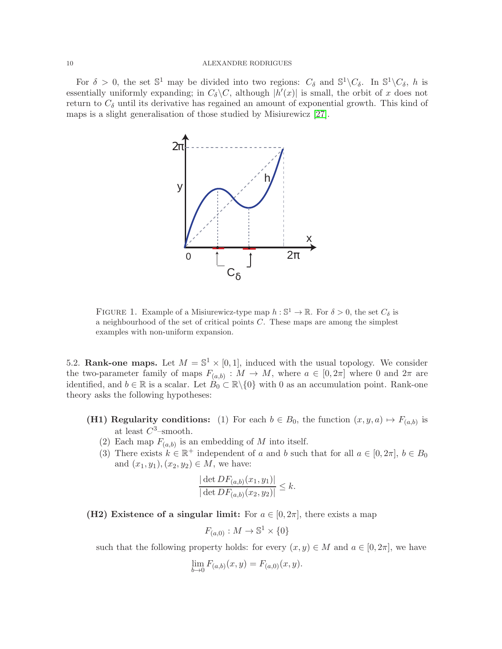For  $\delta > 0$ , the set  $\mathbb{S}^1$  may be divided into two regions:  $C_{\delta}$  and  $\mathbb{S}^1 \backslash C_{\delta}$ . In  $\mathbb{S}^1 \backslash C_{\delta}$ , h is essentially uniformly expanding; in  $C_{\delta} \backslash C$ , although  $|h'(x)|$  is small, the orbit of x does not return to  $C_{\delta}$  until its derivative has regained an amount of exponential growth. This kind of maps is a slight generalisation of those studied by Misiurewicz [\[27\]](#page-24-20).



FIGURE 1. Example of a Misiurewicz-type map  $h : \mathbb{S}^1 \to \mathbb{R}$ . For  $\delta > 0$ , the set  $C_{\delta}$  is a neighbourhood of the set of critical points  $C$ . These maps are among the simplest examples with non-uniform expansion.

<span id="page-9-0"></span>5.2. Rank-one maps. Let  $M = \mathbb{S}^1 \times [0,1]$ , induced with the usual topology. We consider the two-parameter family of maps  $F_{(a,b)}: M \to M$ , where  $a \in [0,2\pi]$  where 0 and  $2\pi$  are identified, and  $b \in \mathbb{R}$  is a scalar. Let  $B_0 \subset \mathbb{R} \setminus \{0\}$  with 0 as an accumulation point. Rank-one theory asks the following hypotheses:

- **(H1) Regularity conditions:** (1) For each  $b \in B_0$ , the function  $(x, y, a) \mapsto F_{(a,b)}$  is at least  $C^3$ -smooth.
	- (2) Each map  $F_{(a,b)}$  is an embedding of M into itself.
	- (3) There exists  $k \in \mathbb{R}^+$  independent of a and b such that for all  $a \in [0, 2\pi]$ ,  $b \in B_0$ and  $(x_1, y_1), (x_2, y_2) \in M$ , we have:

$$
\frac{|\det DF_{(a,b)}(x_1, y_1)|}{|\det DF_{(a,b)}(x_2, y_2)|} \leq k.
$$

(H2) Existence of a singular limit: For  $a \in [0, 2\pi]$ , there exists a map

$$
F_{(a,0)} : M \to \mathbb{S}^1 \times \{0\}
$$

such that the following property holds: for every  $(x, y) \in M$  and  $a \in [0, 2\pi]$ , we have

$$
\lim_{b \to 0} F_{(a,b)}(x, y) = F_{(a,0)}(x, y).
$$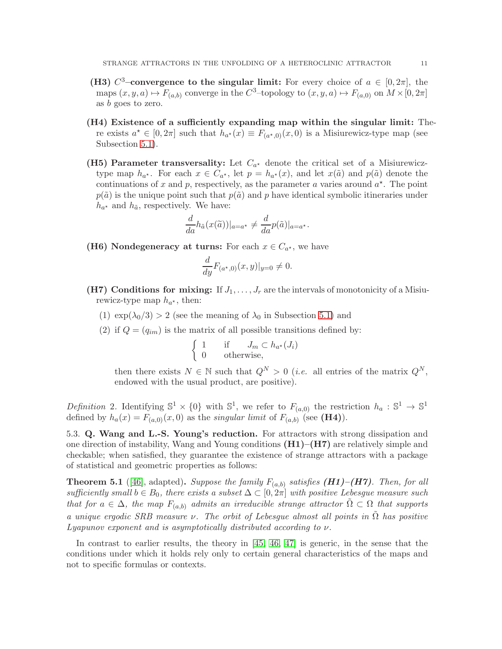- (H3)  $C^3$ -convergence to the singular limit: For every choice of  $a \in [0, 2\pi]$ , the maps  $(x, y, a) \mapsto F_{(a,b)}$  converge in the  $C^3$ -topology to  $(x, y, a) \mapsto F_{(a,0)}$  on  $M \times [0, 2\pi]$ as b goes to zero.
- (H4) Existence of a sufficiently expanding map within the singular limit: There exists  $a^* \in [0, 2\pi]$  such that  $h_{a^*}(x) \equiv F_{(a^*,0)}(x,0)$  is a Misiurewicz-type map (see Subsection [5.1\)](#page-8-2).
- (H5) Parameter transversality: Let  $C_{a^*}$  denote the critical set of a Misiurewicztype map  $h_{a^*}$ . For each  $x \in C_{a^*}$ , let  $p = h_{a^*}(x)$ , and let  $x(\tilde{a})$  and  $p(\tilde{a})$  denote the continuations of x and p, respectively, as the parameter a varies around  $a^*$ . The point  $p(\tilde{a})$  is the unique point such that  $p(\tilde{a})$  and p have identical symbolic itineraries under  $h_{a^*}$  and  $h_{\tilde{a}}$ , respectively. We have:

$$
\frac{d}{da}h_{\tilde{a}}(x(\tilde{a}))|_{a=a^*} \neq \frac{d}{da}p(\tilde{a})|_{a=a^*}.
$$

(H6) Nondegeneracy at turns: For each  $x \in C_{a^*}$ , we have

$$
\frac{d}{dy}F_{(a^*,0)}(x,y)|_{y=0} \neq 0.
$$

- (H7) Conditions for mixing: If  $J_1, \ldots, J_r$  are the intervals of monotonicity of a Misiurewicz-type map  $h_{a^*}$ , then:
	- (1)  $\exp(\lambda_0/3) > 2$  (see the meaning of  $\lambda_0$  in Subsection [5.1\)](#page-8-2) and
	- (2) if  $Q = (q_{im})$  is the matrix of all possible transitions defined by:

$$
\begin{cases} 1 & \text{if } J_m \subset h_{a^*}(J_i) \\ 0 & \text{otherwise,} \end{cases}
$$

then there exists  $N \in \mathbb{N}$  such that  $Q^N > 0$  (*i.e.* all entries of the matrix  $Q^N$ , endowed with the usual product, are positive).

Definition 2. Identifying  $\mathbb{S}^1 \times \{0\}$  with  $\mathbb{S}^1$ , we refer to  $F_{(a,0)}$  the restriction  $h_a : \mathbb{S}^1 \to \mathbb{S}^1$ defined by  $h_a(x) = F_{(a,0)}(x,0)$  as the *singular limit* of  $F_{(a,b)}$  (see (**H4**)).

5.3. Q. Wang and L.-S. Young's reduction. For attractors with strong dissipation and one direction of instability, Wang and Young conditions  $(H1)$ – $(H7)$  are relatively simple and checkable; when satisfied, they guarantee the existence of strange attractors with a package of statistical and geometric properties as follows:

<span id="page-10-0"></span>**Theorem 5.1** ([\[46\]](#page-24-6), adapted). Suppose the family  $F_{(a,b)}$  satisfies  $(H1)$ – $(H7)$ . Then, for all sufficiently small  $b \in B_0$ , there exists a subset  $\Delta \subset [0, 2\pi]$  with positive Lebesgue measure such that for  $a \in \Delta$ , the map  $F_{(a,b)}$  admits an irreducible strange attractor  $\Omega \subset \Omega$  that supports a unique ergodic SRB measure  $\nu$ . The orbit of Lebesgue almost all points in  $\tilde{\Omega}$  has positive  $Lyapunov$  exponent and is asymptotically distributed according to  $\nu$ .

In contrast to earlier results, the theory in [\[45,](#page-24-5) [46,](#page-24-6) [47\]](#page-24-7) is generic, in the sense that the conditions under which it holds rely only to certain general characteristics of the maps and not to specific formulas or contexts.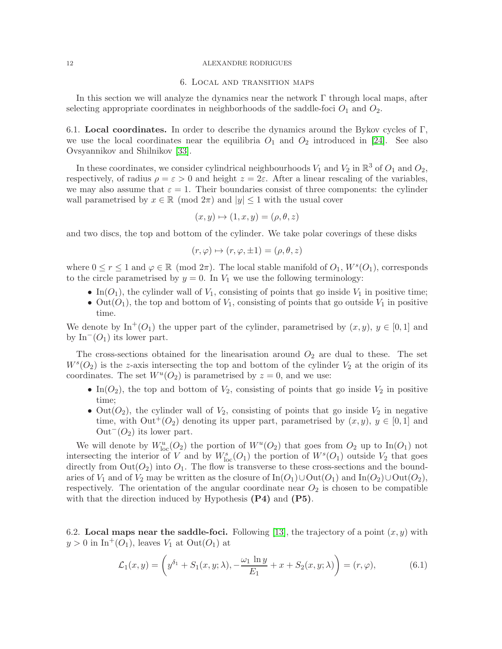#### 6. Local and transition maps

<span id="page-11-0"></span>In this section we will analyze the dynamics near the network  $\Gamma$  through local maps, after selecting appropriate coordinates in neighborhoods of the saddle-foci  $O_1$  and  $O_2$ .

6.1. Local coordinates. In order to describe the dynamics around the Bykov cycles of  $\Gamma$ , we use the local coordinates near the equilibria  $O_1$  and  $O_2$  introduced in [\[24\]](#page-23-13). See also Ovsyannikov and Shilnikov [\[33\]](#page-24-4).

In these coordinates, we consider cylindrical neighbourhoods  $V_1$  and  $V_2$  in  $\mathbb{R}^3$  of  $O_1$  and  $O_2$ , respectively, of radius  $\rho = \varepsilon > 0$  and height  $z = 2\varepsilon$ . After a linear rescaling of the variables, we may also assume that  $\varepsilon = 1$ . Their boundaries consist of three components: the cylinder wall parametrised by  $x \in \mathbb{R} \pmod{2\pi}$  and  $|y| \leq 1$  with the usual cover

$$
(x, y) \mapsto (1, x, y) = (\rho, \theta, z)
$$

and two discs, the top and bottom of the cylinder. We take polar coverings of these disks

$$
(r, \varphi) \mapsto (r, \varphi, \pm 1) = (\rho, \theta, z)
$$

where  $0 \le r \le 1$  and  $\varphi \in \mathbb{R}$  (mod  $2\pi$ ). The local stable manifold of  $O_1$ ,  $W^s(O_1)$ , corresponds to the circle parametrised by  $y = 0$ . In  $V_1$  we use the following terminology:

- In( $O_1$ ), the cylinder wall of  $V_1$ , consisting of points that go inside  $V_1$  in positive time;
- Out( $O_1$ ), the top and bottom of  $V_1$ , consisting of points that go outside  $V_1$  in positive time.

We denote by  $\text{In}^+(O_1)$  the upper part of the cylinder, parametrised by  $(x, y)$ ,  $y \in [0, 1]$  and by In<sup> $-(O_1)$ </sup> its lower part.

The cross-sections obtained for the linearisation around  $O_2$  are dual to these. The set  $W<sup>s</sup>(O<sub>2</sub>)$  is the z-axis intersecting the top and bottom of the cylinder  $V<sub>2</sub>$  at the origin of its coordinates. The set  $W^u(O_2)$  is parametrised by  $z = 0$ , and we use:

- In( $O_2$ ), the top and bottom of  $V_2$ , consisting of points that go inside  $V_2$  in positive time;
- Out( $O_2$ ), the cylinder wall of  $V_2$ , consisting of points that go inside  $V_2$  in negative time, with  $Out^+(O_2)$  denoting its upper part, parametrised by  $(x, y), y \in [0, 1]$  and  $Out^-(O_2)$  its lower part.

We will denote by  $W^u_{loc}(O_2)$  the portion of  $W^u(O_2)$  that goes from  $O_2$  up to  $In(O_1)$  not intersecting the interior of V and by  $W^s_{\text{loc}}(O_1)$  the portion of  $W^s(O_1)$  outside  $V_2$  that goes directly from  $Out(O_2)$  into  $O_1$ . The flow is transverse to these cross-sections and the boundaries of  $V_1$  and of  $V_2$  may be written as the closure of In( $O_1$ ) $\cup$ Out( $O_1$ ) and In( $O_2$ ) $\cup$ Out( $O_2$ ), respectively. The orientation of the angular coordinate near  $O_2$  is chosen to be compatible with that the direction induced by Hypothesis  $(P4)$  and  $(P5)$ .

6.2. Local maps near the saddle-foci. Following [\[13\]](#page-23-20), the trajectory of a point  $(x, y)$  with  $y > 0$  in In<sup>+</sup>(O<sub>1</sub>), leaves  $V_1$  at Out(O<sub>1</sub>) at

<span id="page-11-1"></span>
$$
\mathcal{L}_1(x,y) = \left(y^{\delta_1} + S_1(x,y;\lambda), -\frac{\omega_1 \ln y}{E_1} + x + S_2(x,y;\lambda)\right) = (r,\varphi),\tag{6.1}
$$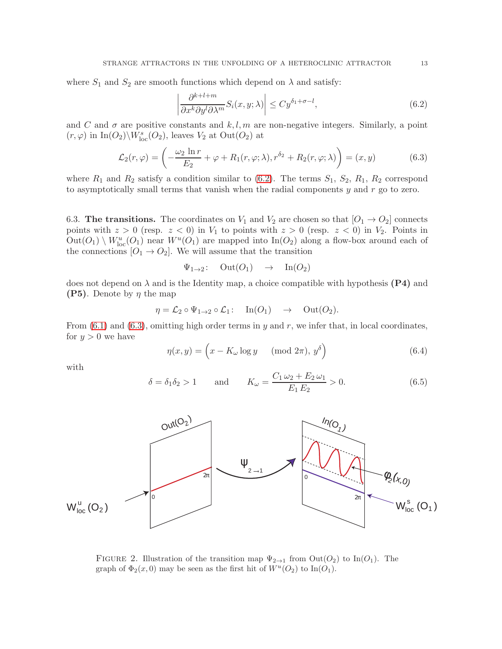where  $S_1$  and  $S_2$  are smooth functions which depend on  $\lambda$  and satisfy:

<span id="page-12-1"></span><span id="page-12-0"></span>
$$
\left| \frac{\partial^{k+l+m}}{\partial x^k \partial y^l \partial \lambda^m} S_i(x, y; \lambda) \right| \le C y^{\delta_1 + \sigma - l},\tag{6.2}
$$

and C and  $\sigma$  are positive constants and k, l, m are non-negative integers. Similarly, a point  $(r,\varphi)$  in  $\mathop{\mathrm{In}}\nolimits(O_2)\backslash W^s_{\mathrm{loc}}(O_2),$  leaves  $V_2$  at  $\mathop{\mathrm{Out}}\nolimits(O_2)$  at

$$
\mathcal{L}_2(r,\varphi) = \left(-\frac{\omega_2 \ln r}{E_2} + \varphi + R_1(r,\varphi;\lambda), r^{\delta_2} + R_2(r,\varphi;\lambda)\right) = (x,y) \tag{6.3}
$$

where  $R_1$  and  $R_2$  satisfy a condition similar to [\(6.2\)](#page-12-0). The terms  $S_1$ ,  $S_2$ ,  $R_1$ ,  $R_2$  correspond to asymptotically small terms that vanish when the radial components  $y$  and  $r$  go to zero.

6.3. The transitions. The coordinates on  $V_1$  and  $V_2$  are chosen so that  $[O_1 \rightarrow O_2]$  connects points with  $z > 0$  (resp.  $z < 0$ ) in  $V_1$  to points with  $z > 0$  (resp.  $z < 0$ ) in  $V_2$ . Points in  $Out(O_1) \setminus W^u_{loc}(O_1)$  near  $W^u(O_1)$  are mapped into  $In(O_2)$  along a flow-box around each of the connections  $[O_1 \rightarrow O_2]$ . We will assume that the transition

$$
\Psi_{1\to 2}
$$
: Out( $O_1$ )  $\to$  In( $O_2$ )

does not depend on  $\lambda$  and is the Identity map, a choice compatible with hypothesis (P4) and **(P5)**. Denote by  $\eta$  the map

$$
\eta = \mathcal{L}_2 \circ \Psi_{1 \to 2} \circ \mathcal{L}_1: \quad \text{In}(O_1) \quad \to \quad \text{Out}(O_2).
$$

From  $(6.1)$  and  $(6.3)$ , omitting high order terms in y and r, we infer that, in local coordinates, for  $y > 0$  we have

<span id="page-12-3"></span>
$$
\eta(x, y) = \left(x - K_{\omega} \log y \quad (\text{mod } 2\pi), y^{\delta}\right) \tag{6.4}
$$

with

$$
\delta = \delta_1 \delta_2 > 1
$$
 and  $K_{\omega} = \frac{C_1 \omega_2 + E_2 \omega_1}{E_1 E_2} > 0.$  (6.5)



<span id="page-12-2"></span>FIGURE 2. Illustration of the transition map  $\Psi_{2\to1}$  from  $Out(O_2)$  to In( $O_1$ ). The graph of  $\Phi_2(x,0)$  may be seen as the first hit of  $W^u(O_2)$  to In $(O_1)$ .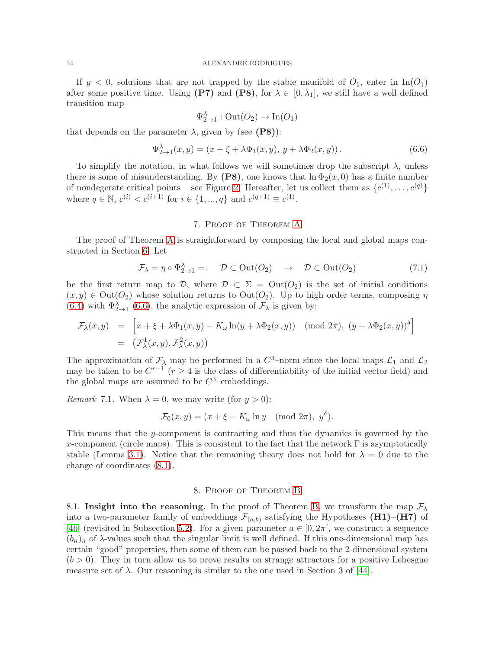If  $y < 0$ , solutions that are not trapped by the stable manifold of  $O_1$ , enter in In( $O_1$ ) after some positive time. Using (P7) and (P8), for  $\lambda \in [0, \lambda_1]$ , we still have a well defined transition map

<span id="page-13-2"></span>
$$
\Psi_{2\to 1}^\lambda : \mathrm{Out}(O_2) \to \mathrm{In}(O_1)
$$

that depends on the parameter  $\lambda$ , given by (see (P8)):

$$
\Psi_{2\to 1}^{\lambda}(x, y) = (x + \xi + \lambda \Phi_1(x, y), y + \lambda \Phi_2(x, y)). \tag{6.6}
$$

To simplify the notation, in what follows we will sometimes drop the subscript  $\lambda$ , unless there is some of misunderstanding. By (P8), one knows that  $\ln \Phi_2(x, 0)$  has a finite number of nondegerate critical points – see Figure [2.](#page-12-2) Hereafter, let us collect them as  $\{c^{(1)}, \ldots, c^{(q)}\}$ where  $q \in \mathbb{N}$ ,  $c^{(i)} < c^{(i+1)}$  for  $i \in \{1, ..., q\}$  and  $c^{(q+1)} \equiv c^{(1)}$ .

### 7. Proof of Theorem [A](#page-7-1)

<span id="page-13-0"></span>The proof of Theorem [A](#page-7-1) is straightforward by composing the local and global maps constructed in Section [6.](#page-11-0) Let

$$
\mathcal{F}_{\lambda} = \eta \circ \Psi_{2 \to 1}^{\lambda} =: \quad \mathcal{D} \subset \text{Out}(O_2) \quad \to \quad \mathcal{D} \subset \text{Out}(O_2) \tag{7.1}
$$

be the first return map to D, where  $\mathcal{D} \subset \Sigma = \mathrm{Out}(O_2)$  is the set of initial conditions  $(x, y) \in Out(O_2)$  whose solution returns to  $Out(O_2)$ . Up to high order terms, composing  $\eta$ [\(6.4\)](#page-12-3) with  $\Psi_{2\to 1}^{\lambda}$  [\(6.6\)](#page-13-2), the analytic expression of  $\mathcal{F}_{\lambda}$  is given by:

$$
\mathcal{F}_{\lambda}(x,y) = \left[ x + \xi + \lambda \Phi_1(x,y) - K_{\omega} \ln(y + \lambda \Phi_2(x,y)) \pmod{2\pi}, \ (y + \lambda \Phi_2(x,y))^{\delta} \right]
$$
  
= 
$$
\left( \mathcal{F}_{\lambda}^1(x,y), \mathcal{F}_{\lambda}^2(x,y) \right)
$$

The approximation of  $\mathcal{F}_{\lambda}$  may be performed in a  $C^3$ -norm since the local maps  $\mathcal{L}_1$  and  $\mathcal{L}_2$ may be taken to be  $C^{r-1}$  ( $r \geq 4$  is the class of differentiability of the initial vector field) and the global maps are assumed to be  $C^3$ -embeddings.

*Remark* 7.1. When  $\lambda = 0$ , we may write (for  $y > 0$ ):

$$
\mathcal{F}_0(x, y) = (x + \xi - K_\omega \ln y \pmod{2\pi}, \ y^\delta).
$$

This means that the  $y$ -component is contracting and thus the dynamics is governed by the x-component (circle maps). This is consistent to the fact that the network  $\Gamma$  is asymptotically stable (Lemma [3.1\)](#page-5-1). Notice that the remaining theory does not hold for  $\lambda = 0$  due to the change of coordinates [\(8.1\)](#page-14-0).

#### 8. Proof of Theorem [B](#page-7-2)

<span id="page-13-1"></span>8.1. Insight into the reasoning. In the proof of Theorem [B,](#page-7-2) we transform the map  $\mathcal{F}_{\lambda}$ into a two-parameter family of embeddings  $\mathcal{F}_{(a,b)}$  satisfying the Hypotheses (H1)–(H7) of [\[46\]](#page-24-6) (revisited in Subsection [5.2\)](#page-9-0). For a given parameter  $a \in [0, 2\pi]$ , we construct a sequence  $(b_n)_n$  of  $\lambda$ -values such that the singular limit is well defined. If this one-dimensional map has certain "good" properties, then some of them can be passed back to the 2-dimensional system  $(b > 0)$ . They in turn allow us to prove results on strange attractors for a positive Lebesgue measure set of  $\lambda$ . Our reasoning is similar to the one used in Section 3 of [\[44\]](#page-24-15).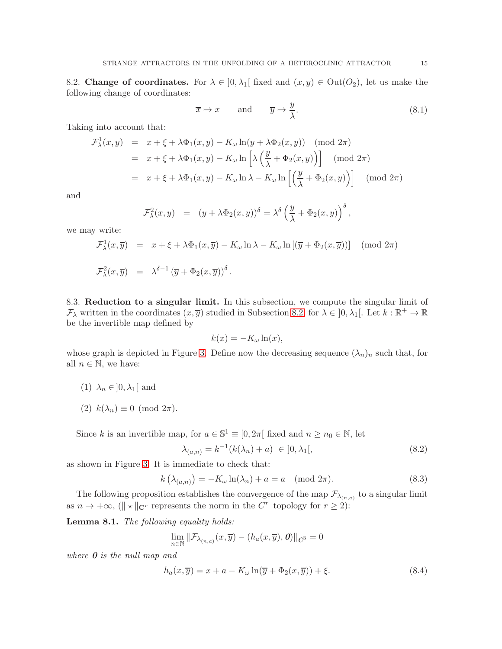<span id="page-14-1"></span>8.2. Change of coordinates. For  $\lambda \in [0, \lambda_1]$  fixed and  $(x, y) \in \text{Out}(O_2)$ , let us make the following change of coordinates:

<span id="page-14-0"></span>
$$
\overline{x} \mapsto x \quad \text{and} \quad \overline{y} \mapsto \frac{y}{\lambda}.\tag{8.1}
$$

Taking into account that:

$$
\mathcal{F}_{\lambda}^{1}(x, y) = x + \xi + \lambda \Phi_{1}(x, y) - K_{\omega} \ln(y + \lambda \Phi_{2}(x, y)) \pmod{2\pi}
$$
\n
$$
= x + \xi + \lambda \Phi_{1}(x, y) - K_{\omega} \ln\left[\lambda \left(\frac{y}{\lambda} + \Phi_{2}(x, y)\right)\right] \pmod{2\pi}
$$
\n
$$
= x + \xi + \lambda \Phi_{1}(x, y) - K_{\omega} \ln \lambda - K_{\omega} \ln\left[\left(\frac{y}{\lambda} + \Phi_{2}(x, y)\right)\right] \pmod{2\pi}
$$

and

$$
\mathcal{F}^2_\lambda(x,y) = (y + \lambda \Phi_2(x,y))^\delta = \lambda^\delta \left(\frac{y}{\lambda} + \Phi_2(x,y)\right)^\delta,
$$

we may write:

$$
\mathcal{F}^1_\lambda(x,\overline{y}) = x + \xi + \lambda \Phi_1(x,\overline{y}) - K_\omega \ln \lambda - K_\omega \ln [(\overline{y} + \Phi_2(x,\overline{y}))] \pmod{2\pi}
$$
  

$$
\mathcal{F}^2_\lambda(x,\overline{y}) = \lambda^{\delta-1} (\overline{y} + \Phi_2(x,\overline{y}))^\delta.
$$

8.3. Reduction to a singular limit. In this subsection, we compute the singular limit of  $\mathcal{F}_{\lambda}$  written in the coordinates  $(x, \overline{y})$  studied in Subsection [8.2,](#page-14-1) for  $\lambda \in ]0, \lambda_1[$ . Let  $k : \mathbb{R}^+ \to \mathbb{R}$ be the invertible map defined by

$$
k(x) = -K_{\omega} \ln(x),
$$

whose graph is depicted in Figure [3.](#page-15-0) Define now the decreasing sequence  $(\lambda_n)_n$  such that, for all  $n \in \mathbb{N}$ , we have:

- (1)  $\lambda_n \in ]0, \lambda_1[$  and
- (2)  $k(\lambda_n) \equiv 0 \pmod{2\pi}$ .

Since k is an invertible map, for  $a \in \mathbb{S}^1 \equiv [0, 2\pi]$  fixed and  $n \ge n_0 \in \mathbb{N}$ , let

<span id="page-14-2"></span>
$$
\lambda_{(a,n)} = k^{-1}(k(\lambda_n) + a) \in ]0, \lambda_1[,
$$
\n(8.2)

as shown in Figure [3.](#page-15-0) It is immediate to check that:

$$
k\left(\lambda_{(a,n)}\right) = -K_{\omega}\ln(\lambda_n) + a = a \pmod{2\pi}.
$$
\n(8.3)

The following proposition establishes the convergence of the map  $\mathcal{F}_{\lambda_{(n,a)}}$  to a singular limit as  $n \to +\infty$ , ( $\|\star\|_{\mathbf{C}^r}$  represents the norm in the C<sup>r</sup>-topology for  $r \geq 2$ ):

<span id="page-14-3"></span>Lemma 8.1. The following equality holds:

$$
\lim_{n \in \mathbb{N}} \|\mathcal{F}_{\lambda_{(n,a)}}(x,\overline{y}) - (h_a(x,\overline{y}),\boldsymbol{0})\|_{\mathcal{C}^3} = 0
$$

where **0** is the null map and

<span id="page-14-4"></span>
$$
h_a(x,\overline{y}) = x + a - K_{\omega} \ln(\overline{y} + \Phi_2(x,\overline{y})) + \xi.
$$
 (8.4)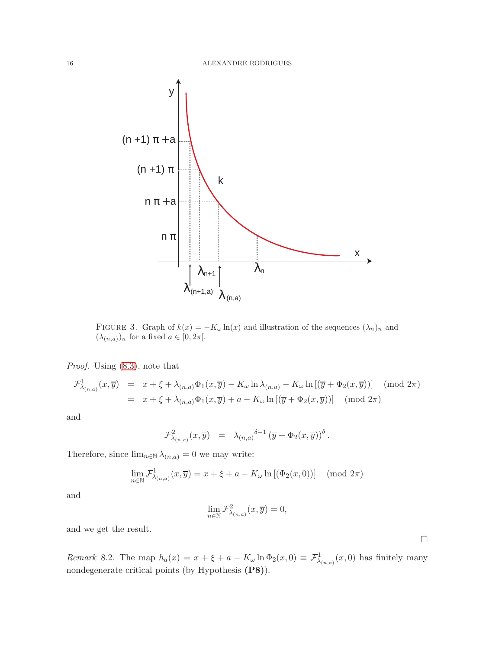

<span id="page-15-0"></span>FIGURE 3. Graph of  $k(x) = -K_{\omega} \ln(x)$  and illustration of the sequences  $(\lambda_n)_n$  and  $(\lambda_{(n,a)})_n$  for a fixed  $a \in [0, 2\pi]$ .

Proof. Using  $(8.3)$ , note that

$$
\mathcal{F}^1_{\lambda_{(n,a)}}(x,\overline{y}) = x + \xi + \lambda_{(n,a)}\Phi_1(x,\overline{y}) - K_\omega \ln \lambda_{(n,a)} - K_\omega \ln \left[ (\overline{y} + \Phi_2(x,\overline{y})) \right] \pmod{2\pi}
$$
  
=  $x + \xi + \lambda_{(n,a)}\Phi_1(x,\overline{y}) + a - K_\omega \ln \left[ (\overline{y} + \Phi_2(x,\overline{y})) \right] \pmod{2\pi}$ 

and

$$
\mathcal{F}^2_{\lambda_{(n,a)}}(x,\overline{y})\ =\ \lambda_{(n,a)}^{\quad \delta-1}\left(\overline{y}+\Phi_2(x,\overline{y})\right)^\delta.
$$

Therefore, since  $\lim_{n \in \mathbb{N}} \lambda_{(n,a)} = 0$  we may write:

$$
\lim_{n \in \mathbb{N}} \mathcal{F}^1_{\lambda_{(n,a)}}(x,\overline{y}) = x + \xi + a - K_\omega \ln\left[ (\Phi_2(x,0)) \right] \pmod{2\pi}
$$

and

$$
\lim_{n \in \mathbb{N}} \mathcal{F}^2_{\lambda_{(n,a)}}(x,\overline{y}) = 0,
$$

and we get the result.

<span id="page-15-1"></span>Remark 8.2. The map  $h_a(x) = x + \xi + a - K_{\omega} \ln \Phi_2(x,0) \equiv \mathcal{F}^1_{\lambda_{(n,a)}}(x,0)$  has finitely many nondegenerate critical points (by Hypothesis (P8)).

 $\hfill \square$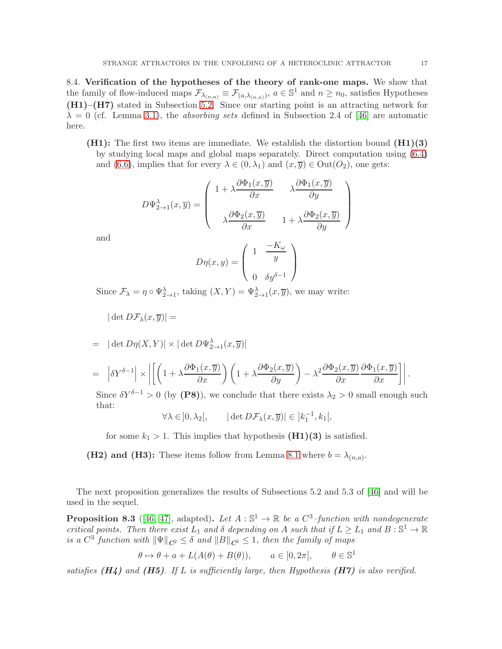<span id="page-16-1"></span>8.4. Verification of the hypotheses of the theory of rank-one maps. We show that the family of flow-induced maps  $\mathcal{F}_{\lambda_{(n,a)}} \equiv \mathcal{F}_{(a,\lambda_{(n,a)})}$ ,  $a \in \mathbb{S}^1$  and  $n \geq n_0$ , satisfies Hypotheses (H1)–(H7) stated in Subsection [5.2.](#page-9-0) Since our starting point is an attracting network for  $\lambda = 0$  (cf. Lemma [3.1\)](#page-5-1), the *absorbing sets* defined in Subsection 2.4 of [\[46\]](#page-24-6) are automatic here.

 $(H1)$ : The first two items are immediate. We establish the distortion bound  $(H1)(3)$ by studying local maps and global maps separately. Direct computation using [\(6.4\)](#page-12-3) and [\(6.6\)](#page-13-2), implies that for every  $\lambda \in (0, \lambda_1)$  and  $(x, \overline{y}) \in \text{Out}(O_2)$ , one gets:

$$
D\Psi_{2\rightarrow 1}^{\lambda}(x,\overline{y})=\left(\begin{array}{cc} 1+\lambda\dfrac{\partial\Phi_1(x,\overline{y})}{\partial x} & \lambda\dfrac{\partial\Phi_1(x,\overline{y})}{\partial y} \\ \\ \lambda\dfrac{\partial\Phi_2(x,\overline{y})}{\partial x} & 1+\lambda\dfrac{\partial\Phi_2(x,\overline{y})}{\partial y} \end{array}\right)
$$

and

$$
D\eta(x,y) = \begin{pmatrix} 1 & \frac{-K_{\omega}}{y} \\ 0 & \delta y^{\delta - 1} \end{pmatrix}
$$

Since  $\mathcal{F}_{\lambda} = \eta \circ \Psi_{2 \to 1}^{\lambda}$ , taking  $(X, Y) = \Psi_{2 \to 1}^{\lambda}(x, \overline{y})$ , we may write:

$$
|\det D\mathcal{F}_\lambda(x,\overline{y})| =
$$

$$
= |\det D\eta(X,Y)| \times |\det D\Psi^{\lambda}_{2\to 1}(x,\overline{y})|
$$

$$
= \left| \delta Y^{\delta - 1} \right| \times \left| \left[ \left( 1 + \lambda \frac{\partial \Phi_1(x, \overline{y})}{\partial x} \right) \left( 1 + \lambda \frac{\partial \Phi_2(x, \overline{y})}{\partial y} \right) - \lambda^2 \frac{\partial \Phi_2(x, \overline{y})}{\partial x} \frac{\partial \Phi_1(x, \overline{y})}{\partial x} \right] \right|.
$$

Since  $\delta Y^{\delta-1} > 0$  (by (P8)), we conclude that there exists  $\lambda_2 > 0$  small enough such that:

$$
\forall \lambda \in ]0, \lambda_2[, \qquad |\det D\mathcal{F}_\lambda(x, \overline{y})| \in ]k_1^{-1}, k_1[,
$$

for some  $k_1 > 1$ . This implies that hypothesis  $(H1)(3)$  is satisfied.

(H2) and (H3): These items follow from Lemma [8.1](#page-14-3) where  $b = \lambda_{(n,a)}$ .

The next proposition generalizes the results of Subsections 5.2 and 5.3 of [\[46\]](#page-24-6) and will be used in the sequel.

<span id="page-16-0"></span>**Proposition 8.3** ([\[46,](#page-24-6) [47\]](#page-24-7), adapted). Let  $A : \mathbb{S}^1 \to \mathbb{R}$  be a  $C^3$ -function with nondegenerate critical points. Then there exist  $L_1$  and  $\delta$  depending on A such that if  $L \geq L_1$  and  $B: \mathbb{S}^1 \to \mathbb{R}$ is a  $C^3$  function with  $\|\Psi\|_{\mathbf{C}^2} \leq \delta$  and  $\|B\|_{\mathbf{C}^3} \leq 1$ , then the family of maps

$$
\theta \mapsto \theta + a + L(A(\theta) + B(\theta)), \quad a \in [0, 2\pi], \quad \theta \in \mathbb{S}^1
$$

satisfies  $(H_4)$  and  $(H5)$ . If L is sufficiently large, then Hypothesis  $(H7)$  is also verified.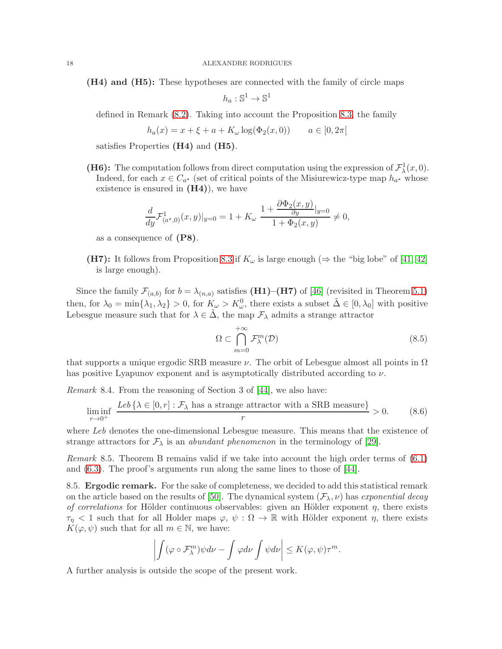(H4) and (H5): These hypotheses are connected with the family of circle maps

$$
h_a: \mathbb{S}^1 \to \mathbb{S}^1
$$

defined in Remark [\(8.2\)](#page-15-1). Taking into account the Proposition [8.3,](#page-16-0) the family

$$
h_a(x) = x + \xi + a + K_{\omega} \log(\Phi_2(x, 0)) \qquad a \in [0, 2\pi[
$$

satisfies Properties (H4) and (H5).

(H6): The computation follows from direct computation using the expression of  $\mathcal{F}^1_\lambda(x,0)$ . Indeed, for each  $x \in C_{a^*}$  (set of critical points of the Misiurewicz-type map  $h_{a^*}$  whose existence is ensured in  $(H4)$ , we have

$$
\frac{d}{dy}\mathcal{F}^{1}_{(a^*,0)}(x,y)|_{y=0} = 1 + K_{\omega} \frac{1 + \frac{\partial \Phi_2(x,y)}{\partial y}|_{y=0}}{1 + \Phi_2(x,y)} \neq 0,
$$

as a consequence of (P8).

(H7): It follows from Proposition [8.3](#page-16-0) if  $K_{\omega}$  is large enough ( $\Rightarrow$  the "big lobe" of [\[41,](#page-24-21) [42\]](#page-24-1) is large enough).

Since the family  $\mathcal{F}_{(a,b)}$  for  $b = \lambda_{(n,a)}$  satisfies (H1)–(H7) of [\[46\]](#page-24-6) (revisited in Theorem [5.1\)](#page-10-0) then, for  $\lambda_0 = \min{\lambda_1, \lambda_2} > 0$ , for  $K_\omega > K_\omega^0$ , there exists a subset  $\tilde{\Delta} \in [0, \lambda_0]$  with positive Lebesgue measure such that for  $\lambda \in \Delta$ , the map  $\mathcal{F}_{\lambda}$  admits a strange attractor

<span id="page-17-1"></span><span id="page-17-0"></span>
$$
\Omega \subset \bigcap_{m=0}^{+\infty} \mathcal{F}_{\lambda}^{m}(\mathcal{D})
$$
\n(8.5)

that supports a unique ergodic SRB measure  $\nu$ . The orbit of Lebesgue almost all points in  $\Omega$ has positive Lyapunov exponent and is asymptotically distributed according to  $\nu$ .

Remark 8.4. From the reasoning of Section 3 of [\[44\]](#page-24-15), we also have:

$$
\liminf_{r \to 0^+} \frac{\text{Leb}\left\{\lambda \in [0, r] : \mathcal{F}_\lambda \text{ has a strange attractor with a SRB measure}\right\}}{r} > 0. \tag{8.6}
$$

where Leb denotes the one-dimensional Lebesgue measure. This means that the existence of strange attractors for  $\mathcal{F}_{\lambda}$  is an *abundant phenomenon* in the terminology of [\[29\]](#page-24-3).

Remark 8.5. Theorem B remains valid if we take into account the high order terms of  $(6.1)$ and [\(6.3\)](#page-12-1). The proof's arguments run along the same lines to those of [\[44\]](#page-24-15).

8.5. Ergodic remark. For the sake of completeness, we decided to add this statistical remark on the article based on the results of [\[50\]](#page-24-22). The dynamical system  $(\mathcal{F}_{\lambda}, \nu)$  has exponential decay of correlations for Hölder continuous observables: given an Hölder exponent  $\eta$ , there exists  $\tau_{\eta}$  < 1 such that for all Holder maps  $\varphi, \psi : \Omega \to \mathbb{R}$  with Hölder exponent  $\eta$ , there exists  $K(\varphi, \psi)$  such that for all  $m \in \mathbb{N}$ , we have:

$$
\left| \int (\varphi \circ \mathcal{F}_{\lambda}^{m}) \psi d\nu - \int \varphi d\nu \int \psi d\nu \right| \leq K(\varphi, \psi) \tau^{m}.
$$

A further analysis is outside the scope of the present work.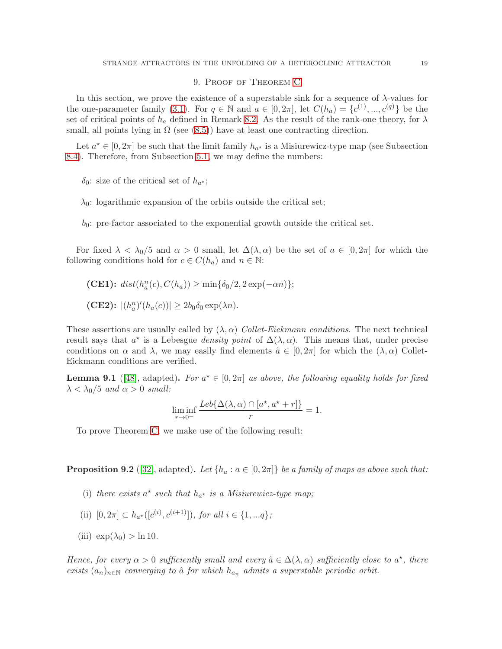### 9. Proof of Theorem [C](#page-8-1)

<span id="page-18-0"></span>In this section, we prove the existence of a superstable sink for a sequence of  $\lambda$ -values for the one-parameter family [\(3.1\)](#page-4-2). For  $q \in \mathbb{N}$  and  $a \in [0, 2\pi]$ , let  $C(h_a) = \{c^{(1)}, ..., c^{(q)}\}$  be the set of critical points of  $h_a$  defined in Remark [8.2.](#page-15-1) As the result of the rank-one theory, for  $\lambda$ small, all points lying in  $\Omega$  (see [\(8.5\)](#page-17-0)) have at least one contracting direction.

Let  $a^* \in [0, 2\pi]$  be such that the limit family  $h_{a^*}$  is a Misiurewicz-type map (see Subsection [8.4\)](#page-16-1). Therefore, from Subsection [5.1,](#page-8-2) we may define the numbers:

 $\delta_0$ : size of the critical set of  $h_{\alpha^*}$ ;

 $\lambda_0$ : logarithmic expansion of the orbits outside the critical set;

 $b_0$ : pre-factor associated to the exponential growth outside the critical set.

For fixed  $\lambda < \lambda_0/5$  and  $\alpha > 0$  small, let  $\Delta(\lambda, \alpha)$  be the set of  $a \in [0, 2\pi]$  for which the following conditions hold for  $c \in C(h_a)$  and  $n \in \mathbb{N}$ :

(CE1): 
$$
dist(h_a^n(c), C(h_a)) \ge \min\{\delta_0/2, 2\exp(-\alpha n)\};
$$
  
\n(CE2):  $|(h_a^n)'(h_a(c))| \ge 2b_0\delta_0 \exp(\lambda n).$ 

These assertions are usually called by  $(\lambda, \alpha)$  Collet-Eickmann conditions. The next technical result says that  $a^*$  is a Lebesgue *density point* of  $\Delta(\lambda, \alpha)$ . This means that, under precise conditions on  $\alpha$  and  $\lambda$ , we may easily find elements  $\hat{a} \in [0, 2\pi]$  for which the  $(\lambda, \alpha)$  Collet-Eickmann conditions are verified.

**Lemma 9.1** ([\[48\]](#page-24-10), adapted). For  $a^* \in [0, 2\pi]$  as above, the following equality holds for fixed  $\lambda < \lambda_0/5$  and  $\alpha > 0$  small:

$$
\liminf_{r \to 0^+} \frac{Leb\{\Delta(\lambda, \alpha) \cap [a^\star, a^\star + r]\}}{r} = 1.
$$

To prove Theorem [C,](#page-8-1) we make use of the following result:

<span id="page-18-1"></span>**Proposition 9.2** ([\[32\]](#page-24-23), adapted). Let  $\{h_a : a \in [0, 2\pi]\}$  be a family of maps as above such that:

- (i) there exists  $a^*$  such that  $h_{a^*}$  is a Misiurewicz-type map;
- (ii)  $[0, 2\pi] \subset h_{a^*}([c^{(i)}, c^{(i+1)}]),$  for all  $i \in \{1, ...q\};$
- (iii)  $\exp(\lambda_0) > \ln 10$ .

Hence, for every  $\alpha > 0$  sufficiently small and every  $\hat{a} \in \Delta(\lambda, \alpha)$  sufficiently close to  $a^*$ , there exists  $(a_n)_{n\in\mathbb{N}}$  converging to  $\hat{a}$  for which  $h_{a_n}$  admits a superstable periodic orbit.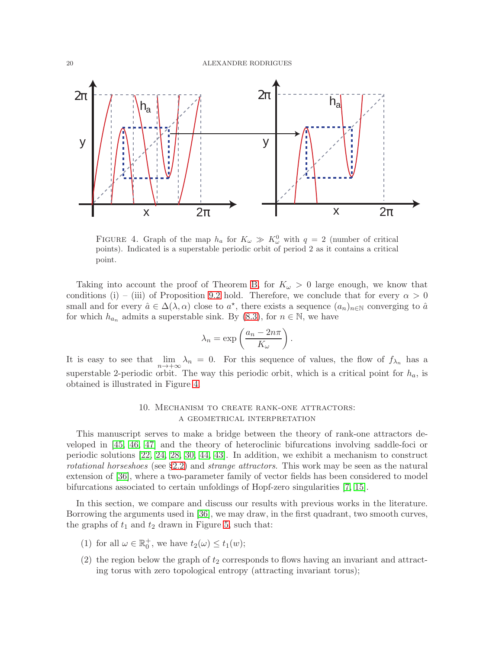

<span id="page-19-1"></span>FIGURE 4. Graph of the map  $h_a$  for  $K_\omega \gg K_\omega^0$  with  $q = 2$  (number of critical points). Indicated is a superstable periodic orbit of period 2 as it contains a critical point.

Taking into account the proof of Theorem [B,](#page-7-2) for  $K_{\omega} > 0$  large enough, we know that conditions (i) – (iii) of Proposition [9.2](#page-18-1) hold. Therefore, we conclude that for every  $\alpha > 0$ small and for every  $\hat{a} \in \Delta(\lambda, \alpha)$  close to  $a^*$ , there exists a sequence  $(a_n)_{n \in \mathbb{N}}$  converging to  $\hat{a}$ for which  $h_{a_n}$  admits a superstable sink. By [\(8.3\)](#page-14-2), for  $n \in \mathbb{N}$ , we have

$$
\lambda_n = \exp\left(\frac{a_n - 2n\pi}{K_\omega}\right).
$$

It is easy to see that  $\lim_{n \to +\infty} \lambda_n = 0$ . For this sequence of values, the flow of  $f_{\lambda_n}$  has a superstable 2-periodic orbit. The way this periodic orbit, which is a critical point for  $h_a$ , is obtained is illustrated in Figure [4.](#page-19-1)

# 10. Mechanism to create rank-one attractors: a geometrical interpretation

<span id="page-19-0"></span>This manuscript serves to make a bridge between the theory of rank-one attractors developed in [\[45,](#page-24-5) [46,](#page-24-6) [47\]](#page-24-7) and the theory of heteroclinic bifurcations involving saddle-foci or periodic solutions [\[22,](#page-23-15) [24,](#page-23-13) [28,](#page-24-13) [30,](#page-24-11) [44,](#page-24-15) [43\]](#page-24-16). In addition, we exhibit a mechanism to construct rotational horseshoes (see §[2.2\)](#page-3-1) and strange attractors. This work may be seen as the natural extension of [\[36\]](#page-24-18), where a two-parameter family of vector fields has been considered to model bifurcations associated to certain unfoldings of Hopf-zero singularities [\[7,](#page-23-2) [15\]](#page-23-3).

In this section, we compare and discuss our results with previous works in the literature. Borrowing the arguments used in [\[36\]](#page-24-18), we may draw, in the first quadrant, two smooth curves, the graphs of  $t_1$  and  $t_2$  drawn in Figure [5,](#page-20-0) such that:

- (1) for all  $\omega \in \mathbb{R}_0^+$ , we have  $t_2(\omega) \le t_1(w)$ ;
- (2) the region below the graph of  $t_2$  corresponds to flows having an invariant and attracting torus with zero topological entropy (attracting invariant torus);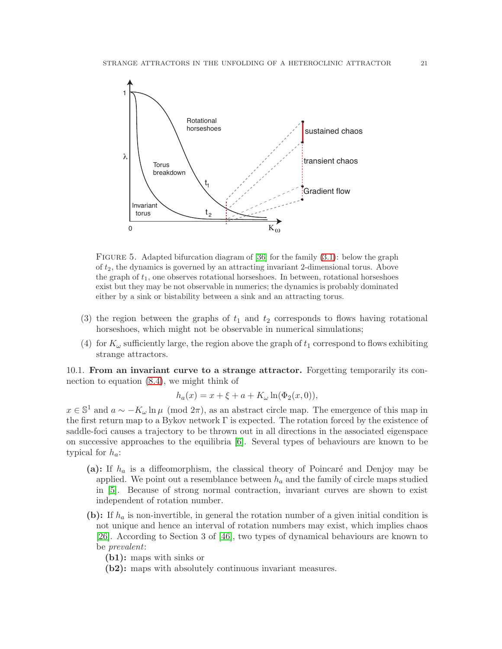

<span id="page-20-0"></span>FIGURE 5. Adapted bifurcation diagram of  $[36]$  for the family  $(3.1)$ : below the graph of  $t_2$ , the dynamics is governed by an attracting invariant 2-dimensional torus. Above the graph of  $t_1$ , one observes rotational horseshoes. In between, rotational horseshoes exist but they may be not observable in numerics; the dynamics is probably dominated either by a sink or bistability between a sink and an attracting torus.

- (3) the region between the graphs of  $t_1$  and  $t_2$  corresponds to flows having rotational horseshoes, which might not be observable in numerical simulations;
- (4) for  $K_{\omega}$  sufficiently large, the region above the graph of  $t_1$  correspond to flows exhibiting strange attractors.

10.1. From an invariant curve to a strange attractor. Forgetting temporarily its connection to equation [\(8.4\)](#page-14-4), we might think of

$$
h_a(x) = x + \xi + a + K_{\omega} \ln(\Phi_2(x, 0)),
$$

 $x \in \mathbb{S}^1$  and  $a \sim -K_\omega \ln \mu \pmod{2\pi}$ , as an abstract circle map. The emergence of this map in the first return map to a Bykov network Γ is expected. The rotation forced by the existence of saddle-foci causes a trajectory to be thrown out in all directions in the associated eigenspace on successive approaches to the equilibria [\[6\]](#page-23-21). Several types of behaviours are known to be typical for  $h_a$ :

- (a): If  $h_a$  is a diffeomorphism, the classical theory of Poincaré and Denjoy may be applied. We point out a resemblance between  $h_a$  and the family of circle maps studied in [\[5\]](#page-23-22). Because of strong normal contraction, invariant curves are shown to exist independent of rotation number.
- (b): If  $h_a$  is non-invertible, in general the rotation number of a given initial condition is not unique and hence an interval of rotation numbers may exist, which implies chaos [\[26\]](#page-23-23). According to Section 3 of [\[46\]](#page-24-6), two types of dynamical behaviours are known to be prevalent:
	- (b1): maps with sinks or
	- (b2): maps with absolutely continuous invariant measures.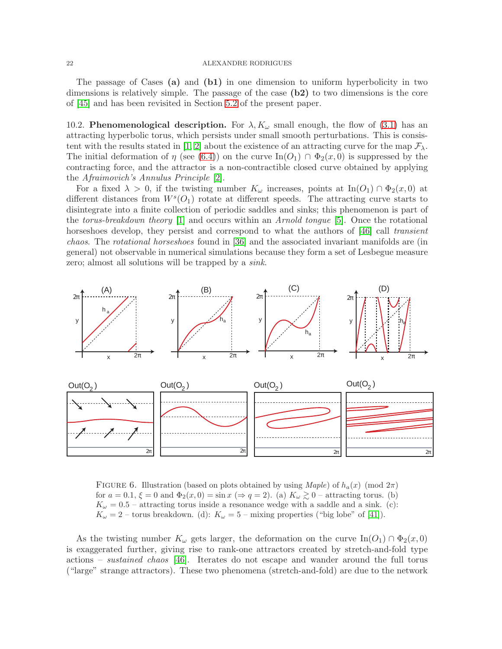The passage of Cases (a) and (b1) in one dimension to uniform hyperbolicity in two dimensions is relatively simple. The passage of the case (b2) to two dimensions is the core of [\[45\]](#page-24-5) and has been revisited in Section [5.2](#page-9-0) of the present paper.

10.2. **Phenomenological description.** For  $\lambda, K_{\omega}$  small enough, the flow of [\(3.1\)](#page-4-2) has an attracting hyperbolic torus, which persists under small smooth perturbations. This is consis-tent with the results stated in [\[1,](#page-23-24) [2\]](#page-23-25) about the existence of an attracting curve for the map  $\mathcal{F}_{\lambda}$ . The initial deformation of  $\eta$  (see [\(6.4\)](#page-12-3)) on the curve In( $O_1$ )  $\cap$   $\Phi_2(x,0)$  is suppressed by the contracting force, and the attractor is a non-contractible closed curve obtained by applying the Afraimovich's Annulus Principle [\[2\]](#page-23-25).

For a fixed  $\lambda > 0$ , if the twisting number  $K_{\omega}$  increases, points at In( $O_1$ )  $\cap$   $\Phi_2(x,0)$  at different distances from  $W^s(O_1)$  rotate at different speeds. The attracting curve starts to disintegrate into a finite collection of periodic saddles and sinks; this phenomenon is part of the *torus-breakdown theory* [\[1\]](#page-23-24) and occurs within an *Arnold tongue* [\[5\]](#page-23-22). Once the rotational horseshoes develop, they persist and correspond to what the authors of [\[46\]](#page-24-6) call transient chaos. The rotational horseshoes found in [\[36\]](#page-24-18) and the associated invariant manifolds are (in general) not observable in numerical simulations because they form a set of Lesbegue measure zero; almost all solutions will be trapped by a *sink*.



<span id="page-21-0"></span>FIGURE 6. Illustration (based on plots obtained by using  $\text{Map}(e)$  of  $h_a(x) \pmod{2\pi}$ for  $a = 0.1$ ,  $\xi = 0$  and  $\Phi_2(x, 0) = \sin x \ (\Rightarrow q = 2)$ . (a)  $K_\omega \gtrsim 0$  – attracting torus. (b)  $K_{\omega} = 0.5$  – attracting torus inside a resonance wedge with a saddle and a sink. (c):  $K_{\omega} = 2$  – torus breakdown. (d):  $K_{\omega} = 5$  – mixing properties ("big lobe" of [\[41\]](#page-24-21)).

As the twisting number  $K_{\omega}$  gets larger, the deformation on the curve  $\text{In}(O_1) \cap \Phi_2(x,0)$ is exaggerated further, giving rise to rank-one attractors created by stretch-and-fold type actions – *sustained chaos* [\[46\]](#page-24-6). Iterates do not escape and wander around the full torus ("large" strange attractors). These two phenomena (stretch-and-fold) are due to the network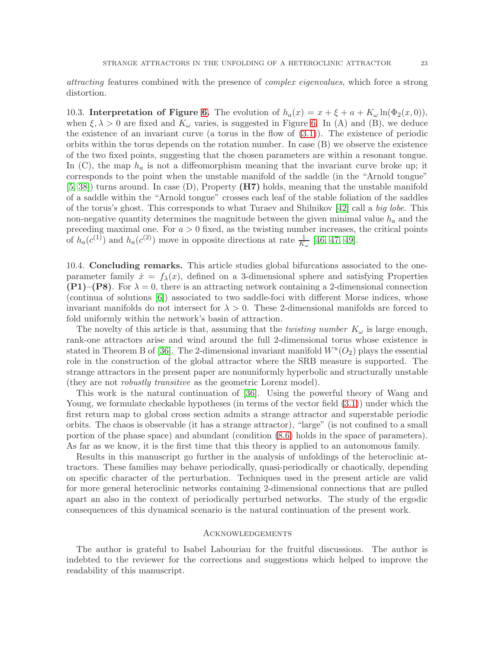attracting features combined with the presence of complex eigenvalues, which force a strong distortion.

10.3. Interpretation of Figure [6.](#page-21-0) The evolution of  $h_a(x) = x + \xi + a + K_{\omega} \ln(\Phi_2(x, 0)),$ when  $\xi, \lambda > 0$  are fixed and  $K_{\omega}$  varies, is suggested in Figure [6.](#page-21-0) In (A) and (B), we deduce the existence of an invariant curve (a torus in the flow of  $(3.1)$ ). The existence of periodic orbits within the torus depends on the rotation number. In case (B) we observe the existence of the two fixed points, suggesting that the chosen parameters are within a resonant tongue. In  $(C)$ , the map  $h_a$  is not a diffeomorphism meaning that the invariant curve broke up; it corresponds to the point when the unstable manifold of the saddle (in the "Arnold tongue" [\[5,](#page-23-22) [38\]](#page-24-24)) turns around. In case (D), Property (H7) holds, meaning that the unstable manifold of a saddle within the "Arnold tongue" crosses each leaf of the stable foliation of the saddles of the torus's ghost. This corresponds to what Turaev and Shilnikov [\[42\]](#page-24-1) call a big lobe. This non-negative quantity determines the magnitude between the given minimal value  $h_a$  and the preceding maximal one. For  $a > 0$  fixed, as the twisting number increases, the critical points of  $h_a(c^{(1)})$  and  $h_a(c^{(2)})$  move in opposite directions at rate  $\frac{1}{K_{\omega}}$  [\[46,](#page-24-6) [47,](#page-24-7) [49\]](#page-24-8).

10.4. **Concluding remarks.** This article studies global bifurcations associated to the oneparameter family  $\dot{x} = f_{\lambda}(x)$ , defined on a 3-dimensional sphere and satisfying Properties  $(P1)$ – $(P8)$ . For  $\lambda = 0$ , there is an attracting network containing a 2-dimensional connection (continua of solutions [\[6\]](#page-23-21)) associated to two saddle-foci with different Morse indices, whose invariant manifolds do not intersect for  $\lambda > 0$ . These 2-dimensional manifolds are forced to fold uniformly within the network's basin of attraction.

The novelty of this article is that, assuming that the *twisting number*  $K_{\omega}$  is large enough, rank-one attractors arise and wind around the full 2-dimensional torus whose existence is stated in Theorem B of [\[36\]](#page-24-18). The 2-dimensional invariant manifold  $W^u(O_2)$  plays the essential role in the construction of the global attractor where the SRB measure is supported. The strange attractors in the present paper are nonuniformly hyperbolic and structurally unstable (they are not robustly transitive as the geometric Lorenz model).

This work is the natural continuation of [\[36\]](#page-24-18). Using the powerful theory of Wang and Young, we formulate checkable hypotheses (in terms of the vector field [\(3.1\)](#page-4-2)) under which the first return map to global cross section admits a strange attractor and superstable periodic orbits. The chaos is observable (it has a strange attractor), "large" (is not confined to a small portion of the phase space) and abundant (condition [\(8.6\)](#page-17-1) holds in the space of parameters). As far as we know, it is the first time that this theory is applied to an autonomous family.

Results in this manuscript go further in the analysis of unfoldings of the heteroclinic attractors. These families may behave periodically, quasi-periodically or chaotically, depending on specific character of the perturbation. Techniques used in the present article are valid for more general heteroclinic networks containing 2-dimensional connections that are pulled apart an also in the context of periodically perturbed networks. The study of the ergodic consequences of this dynamical scenario is the natural continuation of the present work.

### **ACKNOWLEDGEMENTS**

The author is grateful to Isabel Labouriau for the fruitful discussions. The author is indebted to the reviewer for the corrections and suggestions which helped to improve the readability of this manuscript.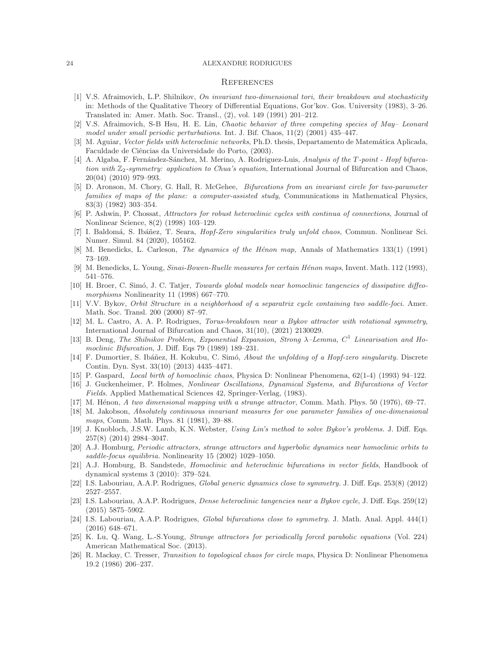#### **REFERENCES**

- <span id="page-23-24"></span>[1] V.S. Afraimovich, L.P. Shilnikov, On invariant two-dimensional tori, their breakdown and stochasticity in: Methods of the Qualitative Theory of Differential Equations, Gor'kov. Gos. University (1983), 3–26. Translated in: Amer. Math. Soc. Transl., (2), vol. 149 (1991) 201–212.
- <span id="page-23-25"></span><span id="page-23-18"></span>[2] V.S. Afraimovich, S-B Hsu, H. E. Lin, Chaotic behavior of three competing species of May– Leonard model under small periodic perturbations. Int. J. Bif. Chaos, 11(2) (2001) 435–447.
- <span id="page-23-16"></span>[3] M. Aguiar, *Vector fields with heteroclinic networks*, Ph.D. thesis, Departamento de Matemática Aplicada, Faculdade de Ciências da Universidade do Porto,  $(2003)$ .
- [4] A. Algaba, F. Fernández-Sánchez, M. Merino, A. Rodriguez-Luis, Analysis of the T-point Hopf bifurcation with  $\mathbb{Z}_2$ -symmetry: application to Chua's equation, International Journal of Bifurcation and Chaos, 20(04) (2010) 979–993.
- <span id="page-23-22"></span>[5] D. Aronson, M. Chory, G. Hall, R. McGehee, Bifurcations from an invariant circle for two-parameter families of maps of the plane: a computer-assisted study, Communications in Mathematical Physics, 83(3) (1982) 303–354.
- <span id="page-23-21"></span>[6] P. Ashwin, P. Chossat, Attractors for robust heteroclinic cycles with continua of connections, Journal of Nonlinear Science, 8(2) (1998) 103–129.
- <span id="page-23-2"></span>[7] I. Baldomá, S. Ibáñez, T. Seara, *Hopf-Zero singularities truly unfold chaos*, Commun. Nonlinear Sci. Numer. Simul. 84 (2020), 105162.
- <span id="page-23-9"></span><span id="page-23-8"></span>[8] M. Benedicks, L. Carleson, *The dynamics of the Hénon map*, Annals of Mathematics 133(1) (1991) 73–169.
- <span id="page-23-1"></span>[9] M. Benedicks, L. Young, Sinai-Bowen-Ruelle measures for certain Hénon maps, Invent. Math. 112 (1993), 541–576.
- [10] H. Broer, C. Simó, J. C. Tatjer, Towards global models near homoclinic tangencies of dissipative diffeomorphisms Nonlinearity 11 (1998) 667–770.
- <span id="page-23-14"></span>[11] V.V. Bykov, Orbit Structure in a neighborhood of a separatrix cycle containing two saddle-foci. Amer. Math. Soc. Transl. 200 (2000) 87–97.
- <span id="page-23-12"></span>[12] M. L. Castro, A. A. P. Rodrigues, Torus-breakdown near a Bykov attractor with rotational symmetry, International Journal of Bifurcation and Chaos, 31(10), (2021) 2130029.
- <span id="page-23-20"></span>[13] B. Deng, The Shilnikov Problem, Exponential Expansion, Strong  $\lambda$ -Lemma,  $C^1$  Linearisation and Homoclinic Bifurcation, J. Diff. Eqs 79 (1989) 189–231.
- <span id="page-23-19"></span>[14] F. Dumortier, S. Ibáñez, H. Kokubu, C. Simó, About the unfolding of a Hopf-zero singularity. Discrete Contin. Dyn. Syst. 33(10) (2013) 4435–4471.
- <span id="page-23-4"></span><span id="page-23-3"></span>[15] P. Gaspard, Local birth of homoclinic chaos, Physica D: Nonlinear Phenomena, 62(1-4) (1993) 94–122.
- [16] J. Guckenheimer, P. Holmes, Nonlinear Oscillations, Dynamical Systems, and Bifurcations of Vector Fields. Applied Mathematical Sciences 42, Springer-Verlag, (1983).
- <span id="page-23-10"></span><span id="page-23-7"></span>[17] M. Hénon, A two dimensional mapping with a strange attractor, Comm. Math. Phys. 50 (1976), 69–77.
- [18] M. Jakobson, Absolutely continuous invariant measures for one parameter families of one-dimensional maps, Comm. Math. Phys. 81 (1981), 39–88.
- <span id="page-23-17"></span>[19] J. Knobloch, J.S.W. Lamb, K.N. Webster, Using Lin's method to solve Bykov's problems. J. Diff. Eqs. 257(8) (2014) 2984–3047.
- <span id="page-23-5"></span>[20] A.J. Homburg, Periodic attractors, strange attractors and hyperbolic dynamics near homoclinic orbits to saddle-focus equilibria. Nonlinearity 15 (2002) 1029–1050.
- <span id="page-23-0"></span>[21] A.J. Homburg, B. Sandstede, Homoclinic and heteroclinic bifurcations in vector fields, Handbook of dynamical systems 3 (2010): 379–524.
- <span id="page-23-15"></span><span id="page-23-6"></span>[22] I.S. Labouriau, A.A.P. Rodrigues, Global generic dynamics close to symmetry. J. Diff. Eqs. 253(8) (2012) 2527–2557.
- [23] I.S. Labouriau, A.A.P. Rodrigues, Dense heteroclinic tangencies near a Bykov cycle, J. Diff. Eqs. 259(12) (2015) 5875–5902.
- <span id="page-23-13"></span>[24] I.S. Labouriau, A.A.P. Rodrigues, Global bifurcations close to symmetry. J. Math. Anal. Appl. 444(1) (2016) 648–671.
- <span id="page-23-11"></span>[25] K. Lu, Q. Wang, L.-S.Young, Strange attractors for periodically forced parabolic equations (Vol. 224) American Mathematical Soc. (2013).
- <span id="page-23-23"></span>[26] R. Mackay, C. Tresser, Transition to topological chaos for circle maps, Physica D: Nonlinear Phenomena 19.2 (1986) 206–237.